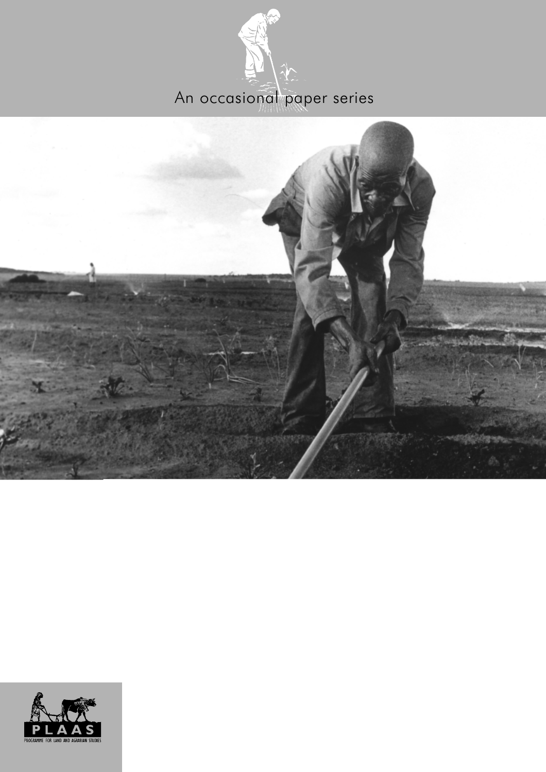



SCHOOL OF GOVERNMENT UNIVERSITY OF THE WESTERN CAPE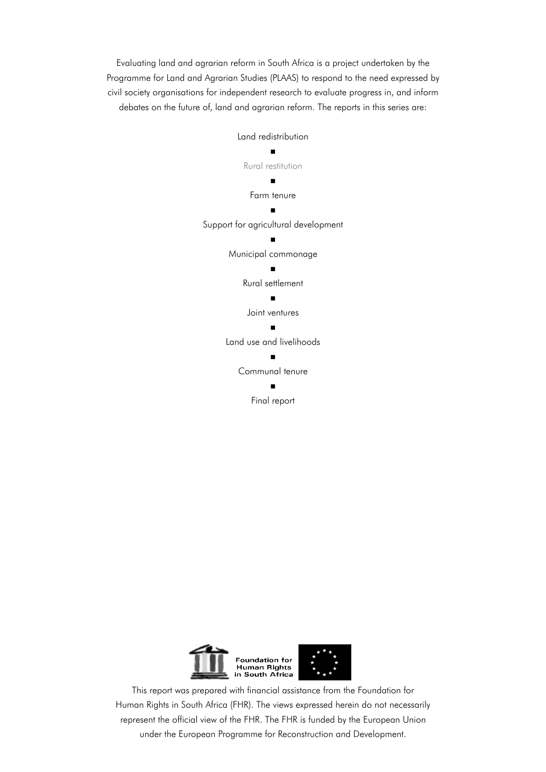Evaluating land and agrarian reform in South Africa is a project undertaken by the Programme for Land and Agrarian Studies (PLAAS) to respond to the need expressed by civil society organisations for independent research to evaluate progress in, and inform debates on the future of, land and agrarian reform. The reports in this series are:





This report was prepared with financial assistance from the Foundation for Human Rights in South Africa (FHR). The views expressed herein do not necessarily represent the official view of the FHR. The FHR is funded by the European Union under the European Programme for Reconstruction and Development.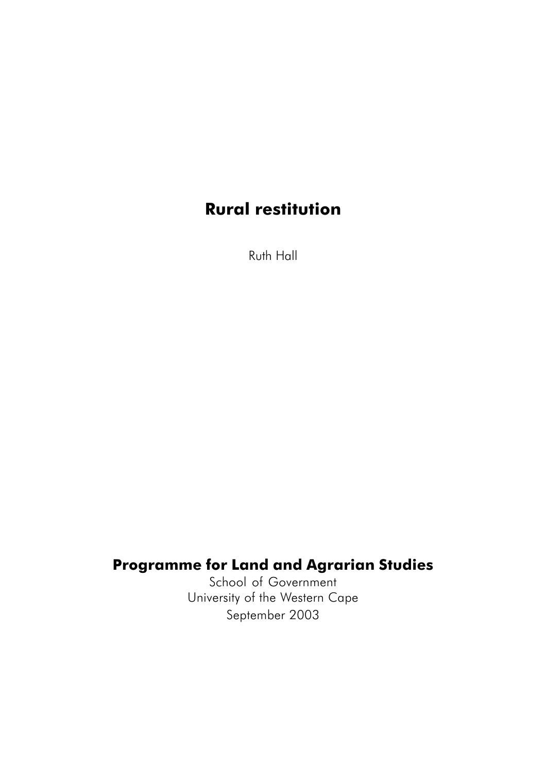# **Rural restitution**

Ruth Hall

## **Programme for Land and Agrarian Studies**

School of Government University of the Western Cape September 2003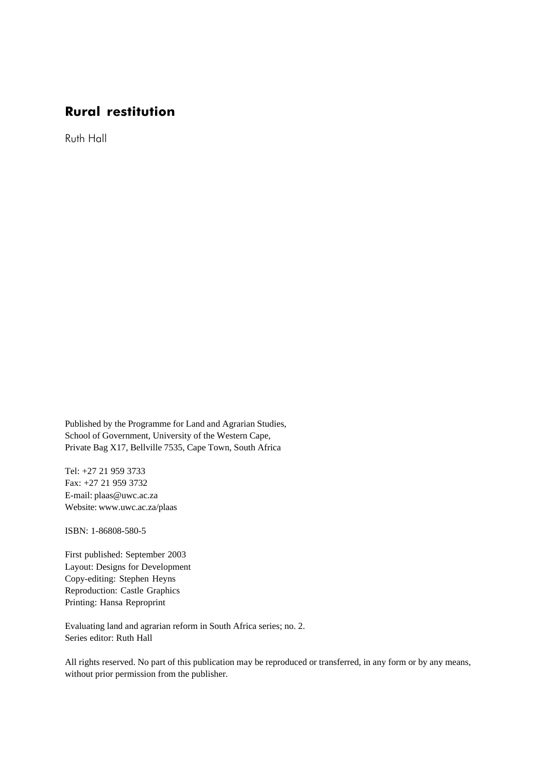## **Rural restitution**

Ruth Hall

Published by the Programme for Land and Agrarian Studies, School of Government, University of the Western Cape, Private Bag X17, Bellville 7535, Cape Town, South Africa

Tel: +27 21 959 3733 Fax: +27 21 959 3732 E-mail: plaas@uwc.ac.za Website: www.uwc.ac.za/plaas

ISBN: 1-86808-580-5

First published: September 2003 Layout: Designs for Development Copy-editing: Stephen Heyns Reproduction: Castle Graphics Printing: Hansa Reproprint

Evaluating land and agrarian reform in South Africa series; no. 2. Series editor: Ruth Hall

All rights reserved. No part of this publication may be reproduced or transferred, in any form or by any means, without prior permission from the publisher.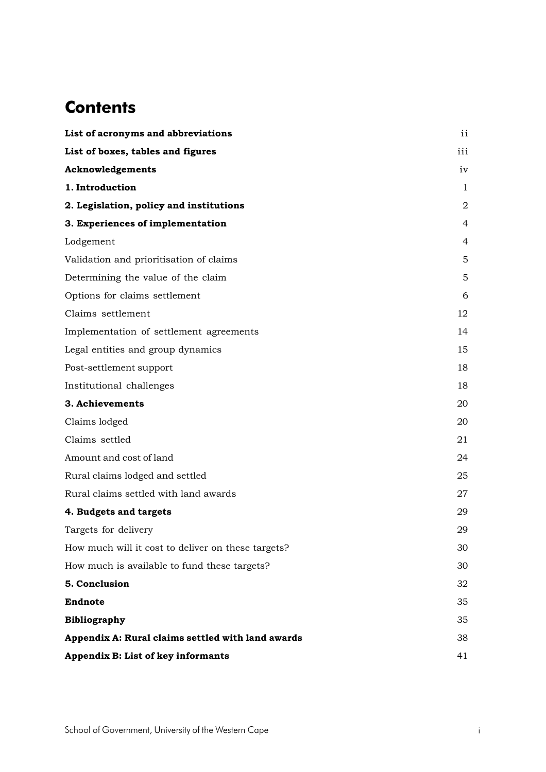## **Contents**

| List of acronyms and abbreviations                 | ii             |
|----------------------------------------------------|----------------|
| List of boxes, tables and figures                  | iii            |
| Acknowledgements                                   | iv             |
| 1. Introduction                                    | 1              |
| 2. Legislation, policy and institutions            | $\overline{2}$ |
| 3. Experiences of implementation                   | 4              |
| Lodgement                                          | 4              |
| Validation and prioritisation of claims            | 5              |
| Determining the value of the claim                 | 5              |
| Options for claims settlement                      | 6              |
| Claims settlement                                  | 12             |
| Implementation of settlement agreements            | 14             |
| Legal entities and group dynamics                  | 15             |
| Post-settlement support                            | 18             |
| Institutional challenges                           | 18             |
| 3. Achievements                                    | 20             |
| Claims lodged                                      | 20             |
| Claims settled                                     | 21             |
| Amount and cost of land                            | 24             |
| Rural claims lodged and settled                    | 25             |
| Rural claims settled with land awards              | 27             |
| 4. Budgets and targets                             | 29             |
| Targets for delivery                               | 29             |
| How much will it cost to deliver on these targets? | 30             |
| How much is available to fund these targets?       | 30             |
| 5. Conclusion                                      | 32             |
| <b>Endnote</b>                                     | 35             |
| <b>Bibliography</b>                                | 35             |
| Appendix A: Rural claims settled with land awards  | 38             |
| Appendix B: List of key informants                 | 41             |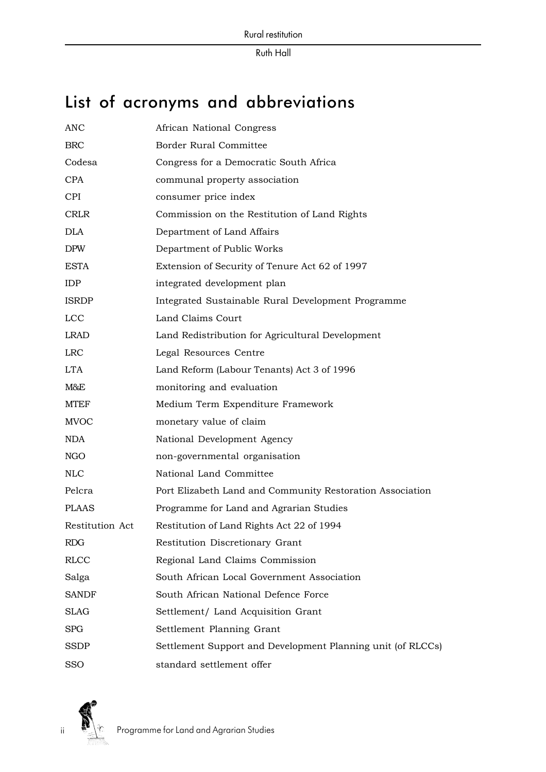# List of acronyms and abbreviations

| <b>ANC</b>      | African National Congress                                   |
|-----------------|-------------------------------------------------------------|
| ${\rm BRC}$     | Border Rural Committee                                      |
| Codesa          | Congress for a Democratic South Africa                      |
| <b>CPA</b>      | communal property association                               |
| <b>CPI</b>      | consumer price index                                        |
| <b>CRLR</b>     | Commission on the Restitution of Land Rights                |
| <b>DLA</b>      | Department of Land Affairs                                  |
| <b>DPW</b>      | Department of Public Works                                  |
| <b>ESTA</b>     | Extension of Security of Tenure Act 62 of 1997              |
| <b>IDP</b>      | integrated development plan                                 |
| <b>ISRDP</b>    | Integrated Sustainable Rural Development Programme          |
| <b>LCC</b>      | Land Claims Court                                           |
| <b>LRAD</b>     | Land Redistribution for Agricultural Development            |
| <b>LRC</b>      | Legal Resources Centre                                      |
| <b>LTA</b>      | Land Reform (Labour Tenants) Act 3 of 1996                  |
| M&E             | monitoring and evaluation                                   |
| <b>MTEF</b>     | Medium Term Expenditure Framework                           |
| <b>MVOC</b>     | monetary value of claim                                     |
| <b>NDA</b>      | National Development Agency                                 |
| NGO             | non-governmental organisation                               |
| <b>NLC</b>      | National Land Committee                                     |
| Pelcra          | Port Elizabeth Land and Community Restoration Association   |
| <b>PLAAS</b>    | Programme for Land and Agrarian Studies                     |
| Restitution Act | Restitution of Land Rights Act 22 of 1994                   |
| RDG             | Restitution Discretionary Grant                             |
| <b>RLCC</b>     | Regional Land Claims Commission                             |
| Salga           | South African Local Government Association                  |
| SANDF           | South African National Defence Force                        |
| <b>SLAG</b>     | Settlement/ Land Acquisition Grant                          |
| SPG             | Settlement Planning Grant                                   |
| SSDP            | Settlement Support and Development Planning unit (of RLCCs) |
| SSO             | standard settlement offer                                   |



ii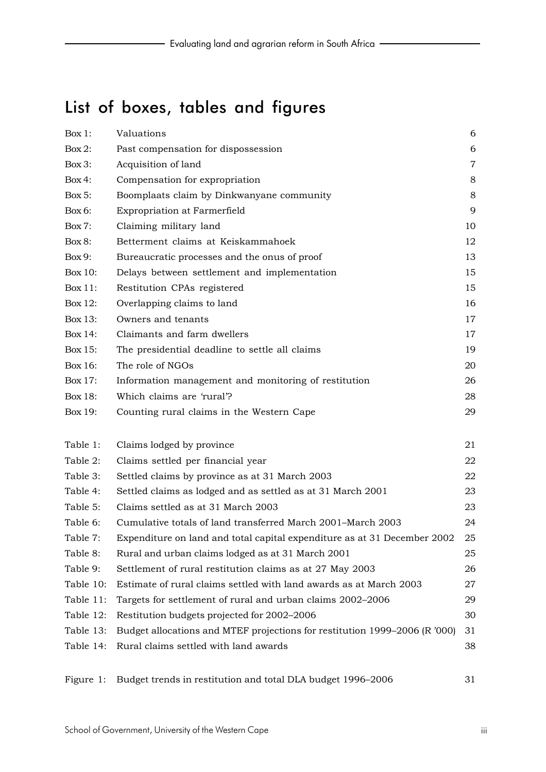# List of boxes, tables and figures

| $Box 1$ : | Valuations                                                                 | 6              |
|-----------|----------------------------------------------------------------------------|----------------|
| Box $2$ : | Past compensation for dispossession                                        | 6              |
| Box 3:    | Acquisition of land                                                        | $\overline{7}$ |
| Box 4:    | Compensation for expropriation                                             | 8              |
| Box 5:    | Boomplaats claim by Dinkwanyane community                                  | $8\,$          |
| Box 6:    | <b>Expropriation at Farmerfield</b>                                        | 9              |
| $Box 7$ : | Claiming military land                                                     | 10             |
| Box 8:    | Betterment claims at Keiskammahoek                                         | 12             |
| Box 9:    | Bureaucratic processes and the onus of proof                               | 13             |
| Box 10:   | Delays between settlement and implementation                               | 15             |
| Box 11:   | Restitution CPAs registered                                                | 15             |
| Box 12:   | Overlapping claims to land                                                 | 16             |
| Box 13:   | Owners and tenants                                                         | 17             |
| Box 14:   | Claimants and farm dwellers                                                | 17             |
| Box 15:   | The presidential deadline to settle all claims                             | 19             |
| Box 16:   | The role of NGOs                                                           | 20             |
| Box 17:   | Information management and monitoring of restitution                       | 26             |
| Box 18:   | Which claims are 'rural'?                                                  | 28             |
| Box 19:   | Counting rural claims in the Western Cape                                  | 29             |
| Table 1:  | Claims lodged by province                                                  | 21             |
| Table 2:  | Claims settled per financial year                                          | 22             |
| Table 3:  | Settled claims by province as at 31 March 2003                             | 22             |
| Table 4:  | Settled claims as lodged and as settled as at 31 March 2001                | 23             |
| Table 5:  | Claims settled as at 31 March 2003                                         | 23             |
| Table 6:  | Cumulative totals of land transferred March 2001-March 2003                | 24             |
| Table 7:  | Expenditure on land and total capital expenditure as at 31 December 2002   | 25             |
| Table 8:  | Rural and urban claims lodged as at 31 March 2001                          | 25             |
| Table 9:  | Settlement of rural restitution claims as at 27 May 2003                   | 26             |
| Table 10: | Estimate of rural claims settled with land awards as at March 2003         | 27             |
| Table 11: | Targets for settlement of rural and urban claims 2002-2006                 | 29             |
| Table 12: | Restitution budgets projected for 2002-2006                                | 30             |
| Table 13: | Budget allocations and MTEF projections for restitution 1999-2006 (R '000) | 31             |
| Table 14: | Rural claims settled with land awards                                      | 38             |

Figure 1: Budget trends in restitution and total DLA budget 1996–2006 31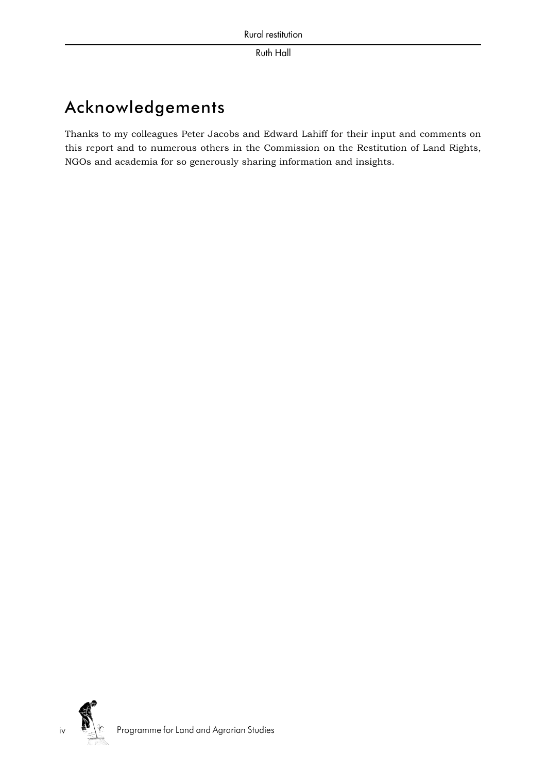# Acknowledgements

Thanks to my colleagues Peter Jacobs and Edward Lahiff for their input and comments on this report and to numerous others in the Commission on the Restitution of Land Rights, NGOs and academia for so generously sharing information and insights.



iv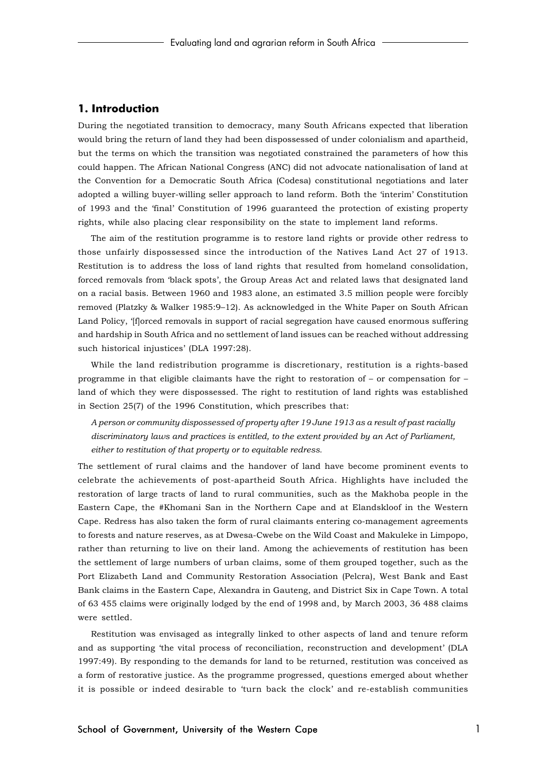## **1. Introduction**

During the negotiated transition to democracy, many South Africans expected that liberation would bring the return of land they had been dispossessed of under colonialism and apartheid, but the terms on which the transition was negotiated constrained the parameters of how this could happen. The African National Congress (ANC) did not advocate nationalisation of land at the Convention for a Democratic South Africa (Codesa) constitutional negotiations and later adopted a willing buyer-willing seller approach to land reform. Both the 'interim' Constitution of 1993 and the 'final' Constitution of 1996 guaranteed the protection of existing property rights, while also placing clear responsibility on the state to implement land reforms.

The aim of the restitution programme is to restore land rights or provide other redress to those unfairly dispossessed since the introduction of the Natives Land Act 27 of 1913. Restitution is to address the loss of land rights that resulted from homeland consolidation, forced removals from 'black spots', the Group Areas Act and related laws that designated land on a racial basis. Between 1960 and 1983 alone, an estimated 3.5 million people were forcibly removed (Platzky & Walker 1985:9–12). As acknowledged in the White Paper on South African Land Policy, '[f]orced removals in support of racial segregation have caused enormous suffering and hardship in South Africa and no settlement of land issues can be reached without addressing such historical injustices' (DLA 1997:28).

While the land redistribution programme is discretionary, restitution is a rights-based programme in that eligible claimants have the right to restoration of – or compensation for – land of which they were dispossessed. The right to restitution of land rights was established in Section 25(7) of the 1996 Constitution, which prescribes that:

*A person or community dispossessed of property after 19 June 1913 as a result of past racially discriminatory laws and practices is entitled, to the extent provided by an Act of Parliament, either to restitution of that property or to equitable redress.*

The settlement of rural claims and the handover of land have become prominent events to celebrate the achievements of post-apartheid South Africa. Highlights have included the restoration of large tracts of land to rural communities, such as the Makhoba people in the Eastern Cape, the #Khomani San in the Northern Cape and at Elandskloof in the Western Cape. Redress has also taken the form of rural claimants entering co-management agreements to forests and nature reserves, as at Dwesa-Cwebe on the Wild Coast and Makuleke in Limpopo, rather than returning to live on their land. Among the achievements of restitution has been the settlement of large numbers of urban claims, some of them grouped together, such as the Port Elizabeth Land and Community Restoration Association (Pelcra), West Bank and East Bank claims in the Eastern Cape, Alexandra in Gauteng, and District Six in Cape Town. A total of 63 455 claims were originally lodged by the end of 1998 and, by March 2003, 36 488 claims were settled.

Restitution was envisaged as integrally linked to other aspects of land and tenure reform and as supporting 'the vital process of reconciliation, reconstruction and development' (DLA 1997:49). By responding to the demands for land to be returned, restitution was conceived as a form of restorative justice. As the programme progressed, questions emerged about whether it is possible or indeed desirable to 'turn back the clock' and re-establish communities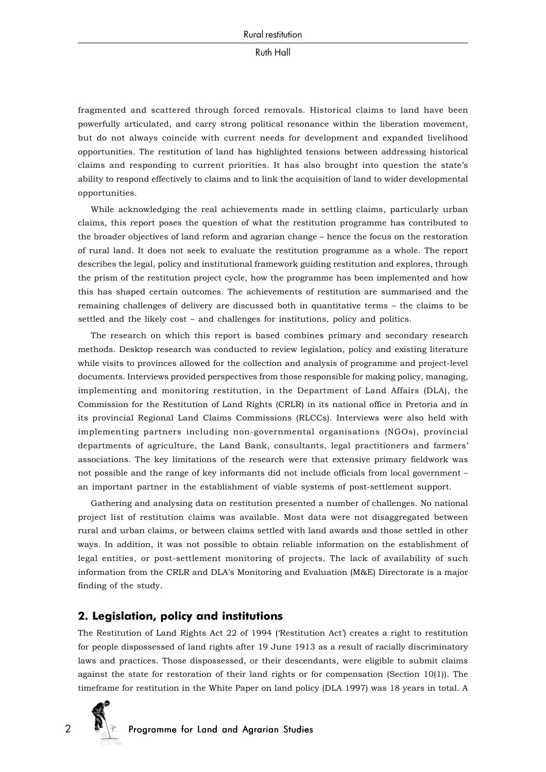fragmented and scattered through forced removals. Historical claims to land have been powerfully articulated, and carry strong political resonance within the liberation movement, but do not always coincide with current needs for development and expanded livelihood opportunities. The restitution of land has highlighted tensions between addressing historical claims and responding to current priorities. It has also brought into question the state's ability to respond effectively to claims and to link the acquisition of land to wider developmental opportunities.

While acknowledging the real achievements made in settling claims, particularly urban claims, this report poses the question of what the restitution programme has contributed to the broader objectives of land reform and agrarian change – hence the focus on the restoration of rural land. It does not seek to evaluate the restitution programme as a whole. The report describes the legal, policy and institutional framework guiding restitution and explores, through the prism of the restitution project cycle, how the programme has been implemented and how this has shaped certain outcomes. The achievements of restitution are summarised and the remaining challenges of delivery are discussed both in quantitative terms – the claims to be settled and the likely cost – and challenges for institutions, policy and politics.

The research on which this report is based combines primary and secondary research methods. Desktop research was conducted to review legislation, policy and existing literature while visits to provinces allowed for the collection and analysis of programme and project-level documents. Interviews provided perspectives from those responsible for making policy, managing, implementing and monitoring restitution, in the Department of Land Affairs (DLA), the Commission for the Restitution of Land Rights (CRLR) in its national office in Pretoria and in its provincial Regional Land Claims Commissions (RLCCs). Interviews were also held with implementing partners including non-governmental organisations (NGOs), provincial departments of agriculture, the Land Bank, consultants, legal practitioners and farmers' associations. The key limitations of the research were that extensive primary fieldwork was not possible and the range of key informants did not include officials from local government – an important partner in the establishment of viable systems of post-settlement support.

Gathering and analysing data on restitution presented a number of challenges. No national project list of restitution claims was available. Most data were not disaggregated between rural and urban claims, or between claims settled with land awards and those settled in other ways. In addition, it was not possible to obtain reliable information on the establishment of legal entities, or post-settlement monitoring of projects. The lack of availability of such information from the CRLR and DLA's Monitoring and Evaluation (M&E) Directorate is a major finding of the study.

## **2. Legislation, policy and institutions**

The Restitution of Land Rights Act 22 of 1994 ('Restitution Act') creates a right to restitution for people dispossessed of land rights after 19 June 1913 as a result of racially discriminatory laws and practices. Those dispossessed, or their descendants, were eligible to submit claims against the state for restoration of their land rights or for compensation (Section 10(1)). The timeframe for restitution in the White Paper on land policy (DLA 1997) was 18 years in total. A

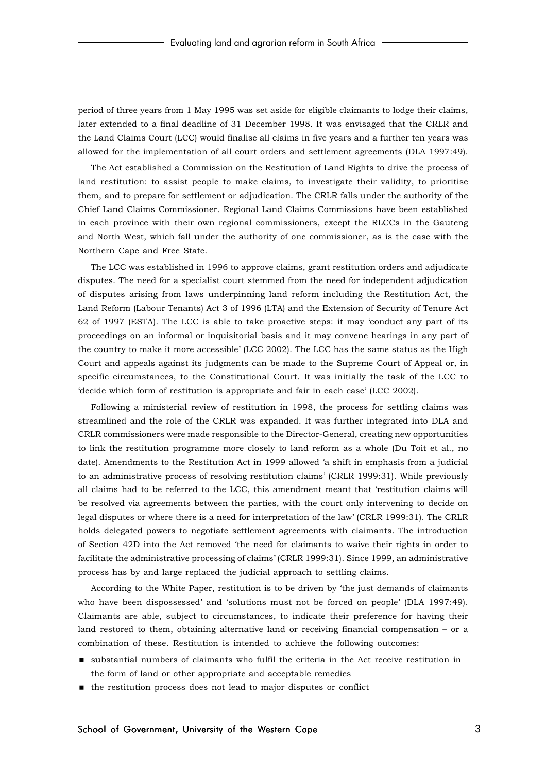period of three years from 1 May 1995 was set aside for eligible claimants to lodge their claims, later extended to a final deadline of 31 December 1998. It was envisaged that the CRLR and the Land Claims Court (LCC) would finalise all claims in five years and a further ten years was allowed for the implementation of all court orders and settlement agreements (DLA 1997:49).

The Act established a Commission on the Restitution of Land Rights to drive the process of land restitution: to assist people to make claims, to investigate their validity, to prioritise them, and to prepare for settlement or adjudication. The CRLR falls under the authority of the Chief Land Claims Commissioner. Regional Land Claims Commissions have been established in each province with their own regional commissioners, except the RLCCs in the Gauteng and North West, which fall under the authority of one commissioner, as is the case with the Northern Cape and Free State.

The LCC was established in 1996 to approve claims, grant restitution orders and adjudicate disputes. The need for a specialist court stemmed from the need for independent adjudication of disputes arising from laws underpinning land reform including the Restitution Act, the Land Reform (Labour Tenants) Act 3 of 1996 (LTA) and the Extension of Security of Tenure Act 62 of 1997 (ESTA). The LCC is able to take proactive steps: it may 'conduct any part of its proceedings on an informal or inquisitorial basis and it may convene hearings in any part of the country to make it more accessible' (LCC 2002). The LCC has the same status as the High Court and appeals against its judgments can be made to the Supreme Court of Appeal or, in specific circumstances, to the Constitutional Court. It was initially the task of the LCC to 'decide which form of restitution is appropriate and fair in each case' (LCC 2002).

Following a ministerial review of restitution in 1998, the process for settling claims was streamlined and the role of the CRLR was expanded. It was further integrated into DLA and CRLR commissioners were made responsible to the Director-General, creating new opportunities to link the restitution programme more closely to land reform as a whole (Du Toit et al., no date). Amendments to the Restitution Act in 1999 allowed 'a shift in emphasis from a judicial to an administrative process of resolving restitution claims' (CRLR 1999:31). While previously all claims had to be referred to the LCC, this amendment meant that 'restitution claims will be resolved via agreements between the parties, with the court only intervening to decide on legal disputes or where there is a need for interpretation of the law' (CRLR 1999:31). The CRLR holds delegated powers to negotiate settlement agreements with claimants. The introduction of Section 42D into the Act removed 'the need for claimants to waive their rights in order to facilitate the administrative processing of claims' (CRLR 1999:31). Since 1999, an administrative process has by and large replaced the judicial approach to settling claims.

According to the White Paper, restitution is to be driven by 'the just demands of claimants who have been dispossessed' and 'solutions must not be forced on people' (DLA 1997:49). Claimants are able, subject to circumstances, to indicate their preference for having their land restored to them, obtaining alternative land or receiving financial compensation – or a combination of these. Restitution is intended to achieve the following outcomes:

- substantial numbers of claimants who fulfil the criteria in the Act receive restitution in the form of land or other appropriate and acceptable remedies
- the restitution process does not lead to major disputes or conflict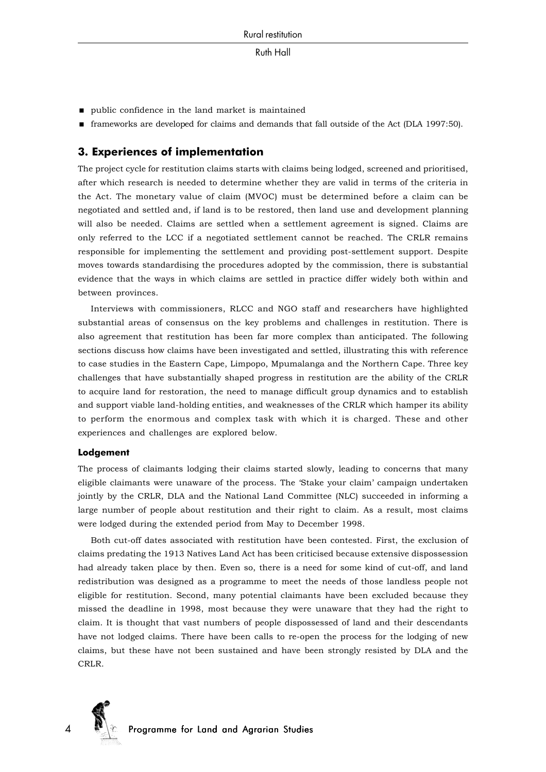- $\quad \blacksquare$  public confidence in the land market is maintained
- frameworks are developed for claims and demands that fall outside of the Act (DLA 1997:50).

## **3. Experiences of implementation**

The project cycle for restitution claims starts with claims being lodged, screened and prioritised, after which research is needed to determine whether they are valid in terms of the criteria in the Act. The monetary value of claim (MVOC) must be determined before a claim can be negotiated and settled and, if land is to be restored, then land use and development planning will also be needed. Claims are settled when a settlement agreement is signed. Claims are only referred to the LCC if a negotiated settlement cannot be reached. The CRLR remains responsible for implementing the settlement and providing post-settlement support. Despite moves towards standardising the procedures adopted by the commission, there is substantial evidence that the ways in which claims are settled in practice differ widely both within and between provinces.

Interviews with commissioners, RLCC and NGO staff and researchers have highlighted substantial areas of consensus on the key problems and challenges in restitution. There is also agreement that restitution has been far more complex than anticipated. The following sections discuss how claims have been investigated and settled, illustrating this with reference to case studies in the Eastern Cape, Limpopo, Mpumalanga and the Northern Cape. Three key challenges that have substantially shaped progress in restitution are the ability of the CRLR to acquire land for restoration, the need to manage difficult group dynamics and to establish and support viable land-holding entities, and weaknesses of the CRLR which hamper its ability to perform the enormous and complex task with which it is charged. These and other experiences and challenges are explored below.

#### **Lodgement**

The process of claimants lodging their claims started slowly, leading to concerns that many eligible claimants were unaware of the process. The 'Stake your claim' campaign undertaken jointly by the CRLR, DLA and the National Land Committee (NLC) succeeded in informing a large number of people about restitution and their right to claim. As a result, most claims were lodged during the extended period from May to December 1998.

Both cut-off dates associated with restitution have been contested. First, the exclusion of claims predating the 1913 Natives Land Act has been criticised because extensive dispossession had already taken place by then. Even so, there is a need for some kind of cut-off, and land redistribution was designed as a programme to meet the needs of those landless people not eligible for restitution. Second, many potential claimants have been excluded because they missed the deadline in 1998, most because they were unaware that they had the right to claim. It is thought that vast numbers of people dispossessed of land and their descendants have not lodged claims. There have been calls to re-open the process for the lodging of new claims, but these have not been sustained and have been strongly resisted by DLA and the CRLR.

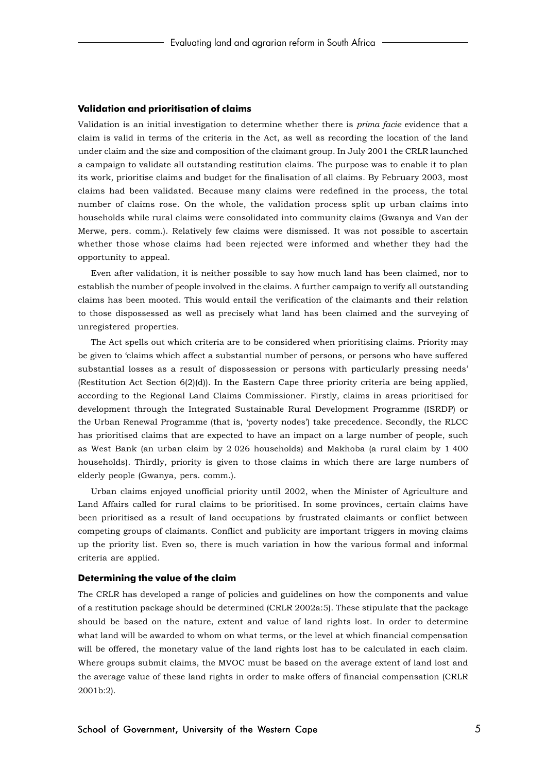#### **Validation and prioritisation of claims**

Validation is an initial investigation to determine whether there is *prima facie* evidence that a claim is valid in terms of the criteria in the Act, as well as recording the location of the land under claim and the size and composition of the claimant group. In July 2001 the CRLR launched a campaign to validate all outstanding restitution claims. The purpose was to enable it to plan its work, prioritise claims and budget for the finalisation of all claims. By February 2003, most claims had been validated. Because many claims were redefined in the process, the total number of claims rose. On the whole, the validation process split up urban claims into households while rural claims were consolidated into community claims (Gwanya and Van der Merwe, pers. comm.). Relatively few claims were dismissed. It was not possible to ascertain whether those whose claims had been rejected were informed and whether they had the opportunity to appeal.

Even after validation, it is neither possible to say how much land has been claimed, nor to establish the number of people involved in the claims. A further campaign to verify all outstanding claims has been mooted. This would entail the verification of the claimants and their relation to those dispossessed as well as precisely what land has been claimed and the surveying of unregistered properties.

The Act spells out which criteria are to be considered when prioritising claims. Priority may be given to 'claims which affect a substantial number of persons, or persons who have suffered substantial losses as a result of dispossession or persons with particularly pressing needs' (Restitution Act Section 6(2)(d)). In the Eastern Cape three priority criteria are being applied, according to the Regional Land Claims Commissioner. Firstly, claims in areas prioritised for development through the Integrated Sustainable Rural Development Programme (ISRDP) or the Urban Renewal Programme (that is, 'poverty nodes') take precedence. Secondly, the RLCC has prioritised claims that are expected to have an impact on a large number of people, such as West Bank (an urban claim by 2 026 households) and Makhoba (a rural claim by 1 400 households). Thirdly, priority is given to those claims in which there are large numbers of elderly people (Gwanya, pers. comm.).

Urban claims enjoyed unofficial priority until 2002, when the Minister of Agriculture and Land Affairs called for rural claims to be prioritised. In some provinces, certain claims have been prioritised as a result of land occupations by frustrated claimants or conflict between competing groups of claimants. Conflict and publicity are important triggers in moving claims up the priority list. Even so, there is much variation in how the various formal and informal criteria are applied.

#### **Determining the value of the claim**

The CRLR has developed a range of policies and guidelines on how the components and value of a restitution package should be determined (CRLR 2002a:5). These stipulate that the package should be based on the nature, extent and value of land rights lost. In order to determine what land will be awarded to whom on what terms, or the level at which financial compensation will be offered, the monetary value of the land rights lost has to be calculated in each claim. Where groups submit claims, the MVOC must be based on the average extent of land lost and the average value of these land rights in order to make offers of financial compensation (CRLR 2001b:2).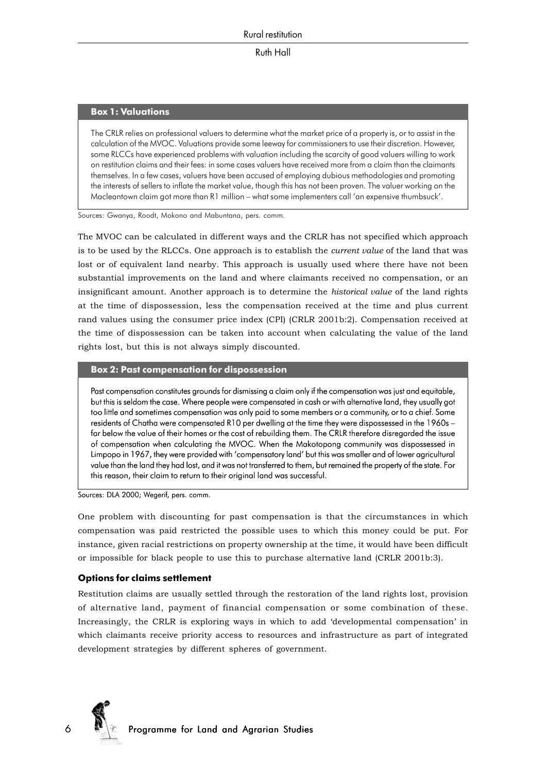## **Box 1: Valuations**

The CRLR relies on professional valuers to determine what the market price of a property is, or to assist in the calculation of the MVOC. Valuations provide some leeway for commissioners to use their discretion. However, some RLCCs have experienced problems with valuation including the scarcity of good valuers willing to work on restitution claims and their fees: in some cases valuers have received more from a claim than the claimants themselves. In a few cases, valuers have been accused of employing dubious methodologies and promoting the interests of sellers to inflate the market value, though this has not been proven. The valuer working on the Macleantown claim got more than R1 million – what some implementers call 'an expensive thumbsuck'.

Sources: Gwanya, Roodt, Mokono and Mabuntana, pers. comm.

The MVOC can be calculated in different ways and the CRLR has not specified which approach is to be used by the RLCCs. One approach is to establish the *current value* of the land that was lost or of equivalent land nearby. This approach is usually used where there have not been substantial improvements on the land and where claimants received no compensation, or an insignificant amount. Another approach is to determine the *historical value* of the land rights at the time of dispossession, less the compensation received at the time and plus current rand values using the consumer price index (CPI) (CRLR 2001b:2). Compensation received at the time of dispossession can be taken into account when calculating the value of the land rights lost, but this is not always simply discounted.

#### **Box 2: Past compensation for dispossession**

Past compensation constitutes grounds for dismissing a claim only if the compensation was just and equitable, but this is seldom the case. Where people were compensated in cash or with alternative land, they usually got too little and sometimes compensation was only paid to some members or a community, or to a chief. Some residents of Chatha were compensated R10 per dwelling at the time they were dispossessed in the 1960s – far below the value of their homes or the cost of rebuilding them. The CRLR therefore disregarded the issue of compensation when calculating the MVOC. When the Makotopong community was dispossessed in Limpopo in 1967, they were provided with 'compensatory land' but this was smaller and of lower agricultural value than the land they had lost, and it was not transferred to them, but remained the property of the state. For this reason, their claim to return to their original land was successful.

Sources: DLA 2000; Wegerif, pers. comm.

One problem with discounting for past compensation is that the circumstances in which compensation was paid restricted the possible uses to which this money could be put. For instance, given racial restrictions on property ownership at the time, it would have been difficult or impossible for black people to use this to purchase alternative land (CRLR 2001b:3).

## **Options for claims settlement**

Restitution claims are usually settled through the restoration of the land rights lost, provision of alternative land, payment of financial compensation or some combination of these. Increasingly, the CRLR is exploring ways in which to add 'developmental compensation' in which claimants receive priority access to resources and infrastructure as part of integrated development strategies by different spheres of government.

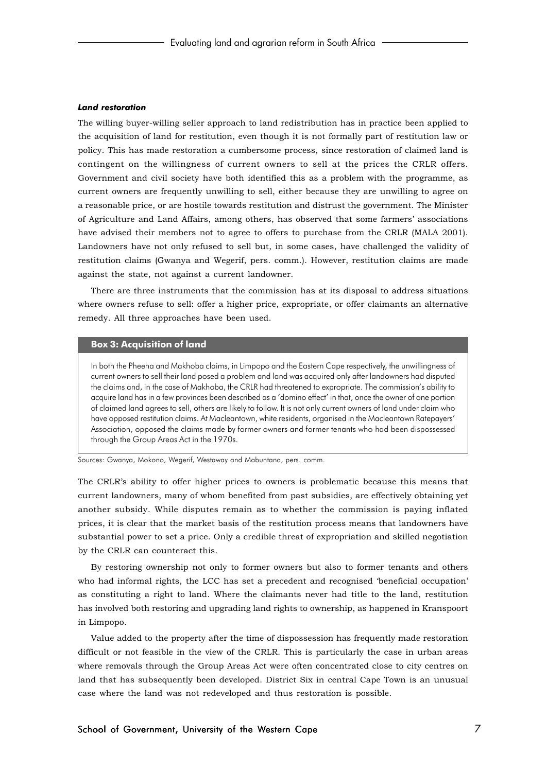#### *Land restoration*

The willing buyer-willing seller approach to land redistribution has in practice been applied to the acquisition of land for restitution, even though it is not formally part of restitution law or policy. This has made restoration a cumbersome process, since restoration of claimed land is contingent on the willingness of current owners to sell at the prices the CRLR offers. Government and civil society have both identified this as a problem with the programme, as current owners are frequently unwilling to sell, either because they are unwilling to agree on a reasonable price, or are hostile towards restitution and distrust the government. The Minister of Agriculture and Land Affairs, among others, has observed that some farmers' associations have advised their members not to agree to offers to purchase from the CRLR (MALA 2001). Landowners have not only refused to sell but, in some cases, have challenged the validity of restitution claims (Gwanya and Wegerif, pers. comm.). However, restitution claims are made against the state, not against a current landowner.

There are three instruments that the commission has at its disposal to address situations where owners refuse to sell: offer a higher price, expropriate, or offer claimants an alternative remedy. All three approaches have been used.

#### **Box 3: Acquisition of land**

In both the Pheeha and Makhoba claims, in Limpopo and the Eastern Cape respectively, the unwillingness of current owners to sell their land posed a problem and land was acquired only after landowners had disputed the claims and, in the case of Makhoba, the CRLR had threatened to expropriate. The commission's ability to acquire land has in a few provinces been described as a 'domino effect' in that, once the owner of one portion of claimed land agrees to sell, others are likely to follow. It is not only current owners of land under claim who have opposed restitution claims. At Macleantown, white residents, organised in the Macleantown Ratepayers' Association, opposed the claims made by former owners and former tenants who had been dispossessed through the Group Areas Act in the 1970s.

Sources: Gwanya, Mokono, Wegerif, Westaway and Mabuntana, pers. comm.

The CRLR's ability to offer higher prices to owners is problematic because this means that current landowners, many of whom benefited from past subsidies, are effectively obtaining yet another subsidy. While disputes remain as to whether the commission is paying inflated prices, it is clear that the market basis of the restitution process means that landowners have substantial power to set a price. Only a credible threat of expropriation and skilled negotiation by the CRLR can counteract this.

By restoring ownership not only to former owners but also to former tenants and others who had informal rights, the LCC has set a precedent and recognised 'beneficial occupation' as constituting a right to land. Where the claimants never had title to the land, restitution has involved both restoring and upgrading land rights to ownership, as happened in Kranspoort in Limpopo.

Value added to the property after the time of dispossession has frequently made restoration difficult or not feasible in the view of the CRLR. This is particularly the case in urban areas where removals through the Group Areas Act were often concentrated close to city centres on land that has subsequently been developed. District Six in central Cape Town is an unusual case where the land was not redeveloped and thus restoration is possible.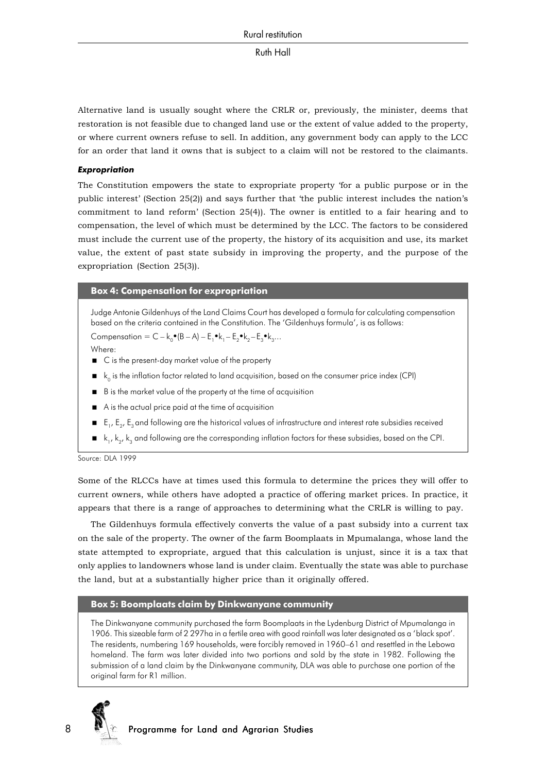Alternative land is usually sought where the CRLR or, previously, the minister, deems that restoration is not feasible due to changed land use or the extent of value added to the property, or where current owners refuse to sell. In addition, any government body can apply to the LCC for an order that land it owns that is subject to a claim will not be restored to the claimants.

## *Expropriation*

The Constitution empowers the state to expropriate property 'for a public purpose or in the public interest' (Section 25(2)) and says further that 'the public interest includes the nation's commitment to land reform' (Section 25(4)). The owner is entitled to a fair hearing and to compensation, the level of which must be determined by the LCC. The factors to be considered must include the current use of the property, the history of its acquisition and use, its market value, the extent of past state subsidy in improving the property, and the purpose of the expropriation (Section 25(3)).

## **Box 4: Compensation for expropriation**

Judge Antonie Gildenhuys of the Land Claims Court has developed a formula for calculating compensation based on the criteria contained in the Constitution. The 'Gildenhuys formula', is as follows: Compensation =  $C - k_0$  (B  $-A$ ) –  $E_1 \cdot k_1 - E_2 \cdot k_2 - E_3 \cdot k_3...$ 

Where:

- C is the present-day market value of the property
- $\bullet$  k<sub>0</sub> is the inflation factor related to land acquisition, based on the consumer price index (CPI)
- B is the market value of the property at the time of acquisition
- A is the actual price paid at the time of acquisition
- $\blacksquare$   $\blacksquare$   $\blacksquare$ ,  $\blacksquare$ ,  $\blacksquare$   $\blacksquare$  and following are the historical values of infrastructure and interest rate subsidies received
- $\blacksquare$  k<sub>1</sub>, k<sub>2</sub>, k<sub>3</sub> and following are the corresponding inflation factors for these subsidies, based on the CPI.

Source: DLA 1999

Some of the RLCCs have at times used this formula to determine the prices they will offer to current owners, while others have adopted a practice of offering market prices. In practice, it appears that there is a range of approaches to determining what the CRLR is willing to pay.

The Gildenhuys formula effectively converts the value of a past subsidy into a current tax on the sale of the property. The owner of the farm Boomplaats in Mpumalanga, whose land the state attempted to expropriate, argued that this calculation is unjust, since it is a tax that only applies to landowners whose land is under claim. Eventually the state was able to purchase the land, but at a substantially higher price than it originally offered.

## **Box 5: Boomplaats claim by Dinkwanyane community**

The Dinkwanyane community purchased the farm Boomplaats in the Lydenburg District of Mpumalanga in 1906. This sizeable farm of 2 297ha in a fertile area with good rainfall was later designated as a 'black spot'. The residents, numbering 169 households, were forcibly removed in 1960–61 and resettled in the Lebowa homeland. The farm was later divided into two portions and sold by the state in 1982. Following the submission of a land claim by the Dinkwanyane community, DLA was able to purchase one portion of the original farm for R1 million.

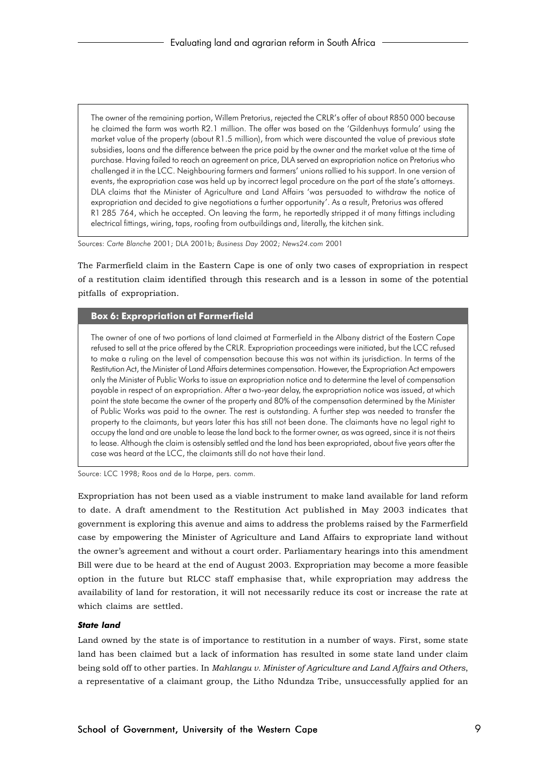The owner of the remaining portion, Willem Pretorius, rejected the CRLR's offer of about R850 000 because he claimed the farm was worth R2.1 million. The offer was based on the 'Gildenhuys formula' using the market value of the property (about R1.5 million), from which were discounted the value of previous state subsidies, loans and the difference between the price paid by the owner and the market value at the time of purchase. Having failed to reach an agreement on price, DLA served an expropriation notice on Pretorius who challenged it in the LCC. Neighbouring farmers and farmers' unions rallied to his support. In one version of events, the expropriation case was held up by incorrect legal procedure on the part of the state's attorneys. DLA claims that the Minister of Agriculture and Land Affairs 'was persuaded to withdraw the notice of expropriation and decided to give negotiations a further opportunity'. As a result, Pretorius was offered R1 285 764, which he accepted. On leaving the farm, he reportedly stripped it of many fittings including electrical fittings, wiring, taps, roofing from outbuildings and, literally, the kitchen sink.

Sources: *Carte Blanche* 2001; DLA 2001b; *Business Day* 2002; *News24.com* 2001

The Farmerfield claim in the Eastern Cape is one of only two cases of expropriation in respect of a restitution claim identified through this research and is a lesson in some of the potential pitfalls of expropriation.

## **Box 6: Expropriation at Farmerfield**

The owner of one of two portions of land claimed at Farmerfield in the Albany district of the Eastern Cape refused to sell at the price offered by the CRLR. Expropriation proceedings were initiated, but the LCC refused to make a ruling on the level of compensation because this was not within its jurisdiction. In terms of the Restitution Act, the Minister of Land Affairs determines compensation. However, the Expropriation Act empowers only the Minister of Public Works to issue an expropriation notice and to determine the level of compensation payable in respect of an expropriation. After a two-year delay, the expropriation notice was issued, at which point the state became the owner of the property and 80% of the compensation determined by the Minister of Public Works was paid to the owner. The rest is outstanding. A further step was needed to transfer the property to the claimants, but years later this has still not been done. The claimants have no legal right to occupy the land and are unable to lease the land back to the former owner, as was agreed, since it is not theirs to lease. Although the claim is ostensibly settled and the land has been expropriated, about five years after the case was heard at the LCC, the claimants still do not have their land.

Source: LCC 1998; Roos and de la Harpe, pers. comm.

Expropriation has not been used as a viable instrument to make land available for land reform to date. A draft amendment to the Restitution Act published in May 2003 indicates that government is exploring this avenue and aims to address the problems raised by the Farmerfield case by empowering the Minister of Agriculture and Land Affairs to expropriate land without the owner's agreement and without a court order. Parliamentary hearings into this amendment Bill were due to be heard at the end of August 2003. Expropriation may become a more feasible option in the future but RLCC staff emphasise that, while expropriation may address the availability of land for restoration, it will not necessarily reduce its cost or increase the rate at which claims are settled.

#### *State land*

Land owned by the state is of importance to restitution in a number of ways. First, some state land has been claimed but a lack of information has resulted in some state land under claim being sold off to other parties. In *Mahlangu v. Minister of Agriculture and Land Affairs and Others*, a representative of a claimant group, the Litho Ndundza Tribe, unsuccessfully applied for an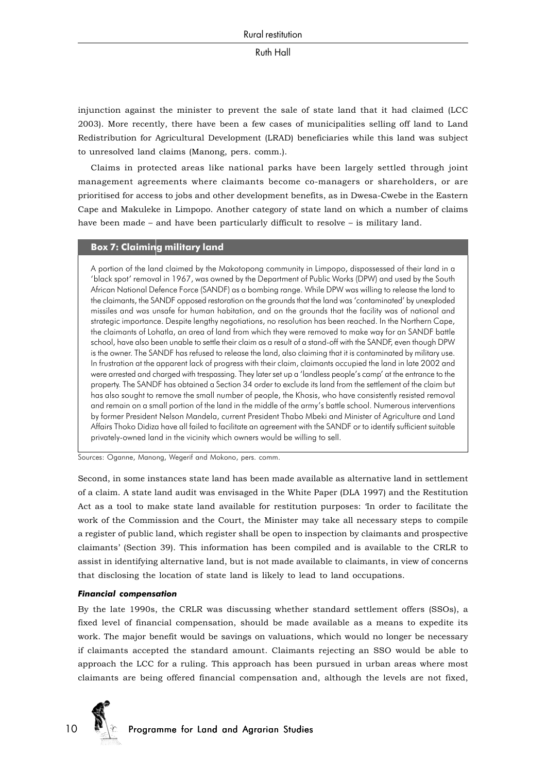injunction against the minister to prevent the sale of state land that it had claimed (LCC 2003). More recently, there have been a few cases of municipalities selling off land to Land Redistribution for Agricultural Development (LRAD) beneficiaries while this land was subject to unresolved land claims (Manong, pers. comm.).

Claims in protected areas like national parks have been largely settled through joint management agreements where claimants become co-managers or shareholders, or are prioritised for access to jobs and other development benefits, as in Dwesa-Cwebe in the Eastern Cape and Makuleke in Limpopo. Another category of state land on which a number of claims have been made – and have been particularly difficult to resolve – is military land.

## **Box 7: Claiming military land**

A portion of the land claimed by the Makotopong community in Limpopo, dispossessed of their land in a 'black spot' removal in 1967, was owned by the Department of Public Works (DPW) and used by the South African National Defence Force (SANDF) as a bombing range. While DPW was willing to release the land to the claimants, the SANDF opposed restoration on the grounds that the land was 'contaminated' by unexploded missiles and was unsafe for human habitation, and on the grounds that the facility was of national and strategic importance. Despite lengthy negotiations, no resolution has been reached. In the Northern Cape, the claimants of Lohatla, an area of land from which they were removed to make way for an SANDF battle school, have also been unable to settle their claim as a result of a stand-off with the SANDF, even though DPW is the owner. The SANDF has refused to release the land, also claiming that it is contaminated by military use. In frustration at the apparent lack of progress with their claim, claimants occupied the land in late 2002 and were arrested and charged with trespassing. They later set up a 'landless people's camp' at the entrance to the property. The SANDF has obtained a Section 34 order to exclude its land from the settlement of the claim but has also sought to remove the small number of people, the Khosis, who have consistently resisted removal and remain on a small portion of the land in the middle of the army's battle school. Numerous interventions by former President Nelson Mandela, current President Thabo Mbeki and Minister of Agriculture and Land Affairs Thoko Didiza have all failed to facilitate an agreement with the SANDF or to identify sufficient suitable privately-owned land in the vicinity which owners would be willing to sell.

Sources: Oganne, Manong, Wegerif and Mokono, pers. comm.

Second, in some instances state land has been made available as alternative land in settlement of a claim. A state land audit was envisaged in the White Paper (DLA 1997) and the Restitution Act as a tool to make state land available for restitution purposes: 'In order to facilitate the work of the Commission and the Court, the Minister may take all necessary steps to compile a register of public land, which register shall be open to inspection by claimants and prospective claimants' (Section 39). This information has been compiled and is available to the CRLR to assist in identifying alternative land, but is not made available to claimants, in view of concerns that disclosing the location of state land is likely to lead to land occupations.

#### *Financial compensation*

By the late 1990s, the CRLR was discussing whether standard settlement offers (SSOs), a fixed level of financial compensation, should be made available as a means to expedite its work. The major benefit would be savings on valuations, which would no longer be necessary if claimants accepted the standard amount. Claimants rejecting an SSO would be able to approach the LCC for a ruling. This approach has been pursued in urban areas where most claimants are being offered financial compensation and, although the levels are not fixed,

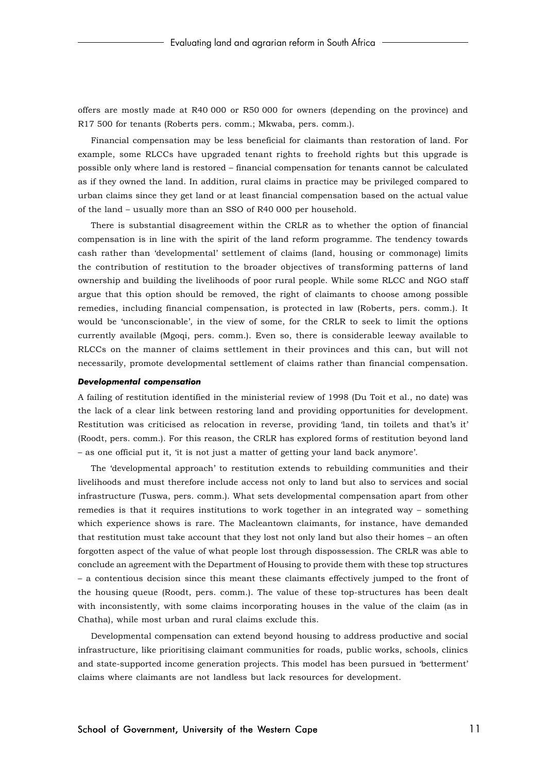offers are mostly made at R40 000 or R50 000 for owners (depending on the province) and R17 500 for tenants (Roberts pers. comm.; Mkwaba, pers. comm.).

Financial compensation may be less beneficial for claimants than restoration of land. For example, some RLCCs have upgraded tenant rights to freehold rights but this upgrade is possible only where land is restored – financial compensation for tenants cannot be calculated as if they owned the land. In addition, rural claims in practice may be privileged compared to urban claims since they get land or at least financial compensation based on the actual value of the land – usually more than an SSO of R40 000 per household.

There is substantial disagreement within the CRLR as to whether the option of financial compensation is in line with the spirit of the land reform programme. The tendency towards cash rather than 'developmental' settlement of claims (land, housing or commonage) limits the contribution of restitution to the broader objectives of transforming patterns of land ownership and building the livelihoods of poor rural people. While some RLCC and NGO staff argue that this option should be removed, the right of claimants to choose among possible remedies, including financial compensation, is protected in law (Roberts, pers. comm.). It would be 'unconscionable', in the view of some, for the CRLR to seek to limit the options currently available (Mgoqi, pers. comm.). Even so, there is considerable leeway available to RLCCs on the manner of claims settlement in their provinces and this can, but will not necessarily, promote developmental settlement of claims rather than financial compensation.

#### *Developmental compensation*

A failing of restitution identified in the ministerial review of 1998 (Du Toit et al., no date) was the lack of a clear link between restoring land and providing opportunities for development. Restitution was criticised as relocation in reverse, providing 'land, tin toilets and that's it' (Roodt, pers. comm.). For this reason, the CRLR has explored forms of restitution beyond land – as one official put it, 'it is not just a matter of getting your land back anymore'.

The 'developmental approach' to restitution extends to rebuilding communities and their livelihoods and must therefore include access not only to land but also to services and social infrastructure (Tuswa, pers. comm.). What sets developmental compensation apart from other remedies is that it requires institutions to work together in an integrated way – something which experience shows is rare. The Macleantown claimants, for instance, have demanded that restitution must take account that they lost not only land but also their homes – an often forgotten aspect of the value of what people lost through dispossession. The CRLR was able to conclude an agreement with the Department of Housing to provide them with these top structures – a contentious decision since this meant these claimants effectively jumped to the front of the housing queue (Roodt, pers. comm.). The value of these top-structures has been dealt with inconsistently, with some claims incorporating houses in the value of the claim (as in Chatha), while most urban and rural claims exclude this.

Developmental compensation can extend beyond housing to address productive and social infrastructure, like prioritising claimant communities for roads, public works, schools, clinics and state-supported income generation projects. This model has been pursued in 'betterment' claims where claimants are not landless but lack resources for development.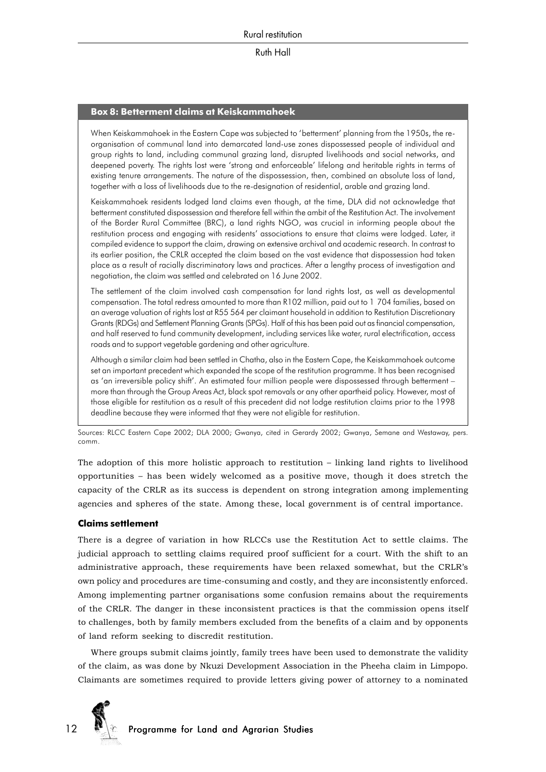#### **Box 8: Betterment claims at Keiskammahoek**

When Keiskammahoek in the Eastern Cape was subjected to 'betterment' planning from the 1950s, the reorganisation of communal land into demarcated land-use zones dispossessed people of individual and group rights to land, including communal grazing land, disrupted livelihoods and social networks, and deepened poverty. The rights lost were 'strong and enforceable' lifelong and heritable rights in terms of existing tenure arrangements. The nature of the dispossession, then, combined an absolute loss of land, together with a loss of livelihoods due to the re-designation of residential, arable and grazing land.

Keiskammahoek residents lodged land claims even though, at the time, DLA did not acknowledge that betterment constituted dispossession and therefore fell within the ambit of the Restitution Act. The involvement of the Border Rural Committee (BRC), a land rights NGO, was crucial in informing people about the restitution process and engaging with residents' associations to ensure that claims were lodged. Later, it compiled evidence to support the claim, drawing on extensive archival and academic research. In contrast to its earlier position, the CRLR accepted the claim based on the vast evidence that dispossession had taken place as a result of racially discriminatory laws and practices. After a lengthy process of investigation and negotiation, the claim was settled and celebrated on 16 June 2002.

The settlement of the claim involved cash compensation for land rights lost, as well as developmental compensation. The total redress amounted to more than R102 million, paid out to 1 704 families, based on an average valuation of rights lost at R55 564 per claimant household in addition to Restitution Discretionary Grants (RDGs) and Settlement Planning Grants (SPGs). Half of this has been paid out as financial compensation, and half reserved to fund community development, including services like water, rural electrification, access roads and to support vegetable gardening and other agriculture.

Although a similar claim had been settled in Chatha, also in the Eastern Cape, the Keiskammahoek outcome set an important precedent which expanded the scope of the restitution programme. It has been recognised as 'an irreversible policy shift'. An estimated four million people were dispossessed through betterment – more than through the Group Areas Act, black spot removals or any other apartheid policy. However, most of those eligible for restitution as a result of this precedent did not lodge restitution claims prior to the 1998 deadline because they were informed that they were not eligible for restitution.

Sources: RLCC Eastern Cape 2002; DLA 2000; Gwanya, cited in Gerardy 2002; Gwanya, Semane and Westaway, pers. comm.

The adoption of this more holistic approach to restitution – linking land rights to livelihood opportunities – has been widely welcomed as a positive move, though it does stretch the capacity of the CRLR as its success is dependent on strong integration among implementing agencies and spheres of the state. Among these, local government is of central importance.

#### **Claims settlement**

There is a degree of variation in how RLCCs use the Restitution Act to settle claims. The judicial approach to settling claims required proof sufficient for a court. With the shift to an administrative approach, these requirements have been relaxed somewhat, but the CRLR's own policy and procedures are time-consuming and costly, and they are inconsistently enforced. Among implementing partner organisations some confusion remains about the requirements of the CRLR. The danger in these inconsistent practices is that the commission opens itself to challenges, both by family members excluded from the benefits of a claim and by opponents of land reform seeking to discredit restitution.

Where groups submit claims jointly, family trees have been used to demonstrate the validity of the claim, as was done by Nkuzi Development Association in the Pheeha claim in Limpopo. Claimants are sometimes required to provide letters giving power of attorney to a nominated

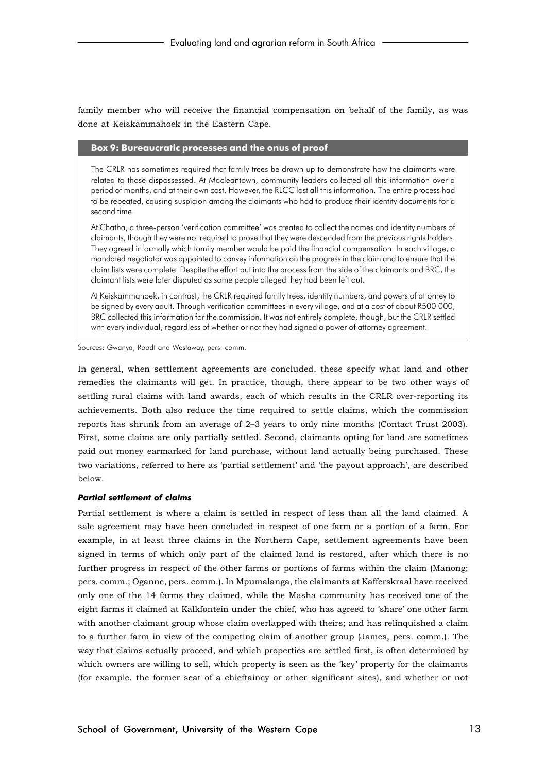family member who will receive the financial compensation on behalf of the family, as was done at Keiskammahoek in the Eastern Cape.

#### **Box 9: Bureaucratic processes and the onus of proof**

The CRLR has sometimes required that family trees be drawn up to demonstrate how the claimants were related to those dispossessed. At Macleantown, community leaders collected all this information over a period of months, and at their own cost. However, the RLCC lost all this information. The entire process had to be repeated, causing suspicion among the claimants who had to produce their identity documents for a second time.

At Chatha, a three-person 'verification committee' was created to collect the names and identity numbers of claimants, though they were not required to prove that they were descended from the previous rights holders. They agreed informally which family member would be paid the financial compensation. In each village, a mandated negotiator was appointed to convey information on the progress in the claim and to ensure that the claim lists were complete. Despite the effort put into the process from the side of the claimants and BRC, the claimant lists were later disputed as some people alleged they had been left out.

At Keiskammahoek, in contrast, the CRLR required family trees, identity numbers, and powers of attorney to be signed by every adult. Through verification committees in every village, and at a cost of about R500 000, BRC collected this information for the commission. It was not entirely complete, though, but the CRLR settled with every individual, regardless of whether or not they had signed a power of attorney agreement.

Sources: Gwanya, Roodt and Westaway, pers. comm.

In general, when settlement agreements are concluded, these specify what land and other remedies the claimants will get. In practice, though, there appear to be two other ways of settling rural claims with land awards, each of which results in the CRLR over-reporting its achievements. Both also reduce the time required to settle claims, which the commission reports has shrunk from an average of 2–3 years to only nine months (Contact Trust 2003). First, some claims are only partially settled. Second, claimants opting for land are sometimes paid out money earmarked for land purchase, without land actually being purchased. These two variations, referred to here as 'partial settlement' and 'the payout approach', are described below.

#### *Partial settlement of claims*

Partial settlement is where a claim is settled in respect of less than all the land claimed. A sale agreement may have been concluded in respect of one farm or a portion of a farm. For example, in at least three claims in the Northern Cape, settlement agreements have been signed in terms of which only part of the claimed land is restored, after which there is no further progress in respect of the other farms or portions of farms within the claim (Manong; pers. comm.; Oganne, pers. comm.). In Mpumalanga, the claimants at Kafferskraal have received only one of the 14 farms they claimed, while the Masha community has received one of the eight farms it claimed at Kalkfontein under the chief, who has agreed to 'share' one other farm with another claimant group whose claim overlapped with theirs; and has relinquished a claim to a further farm in view of the competing claim of another group (James, pers. comm.). The way that claims actually proceed, and which properties are settled first, is often determined by which owners are willing to sell, which property is seen as the 'key' property for the claimants (for example, the former seat of a chieftaincy or other significant sites), and whether or not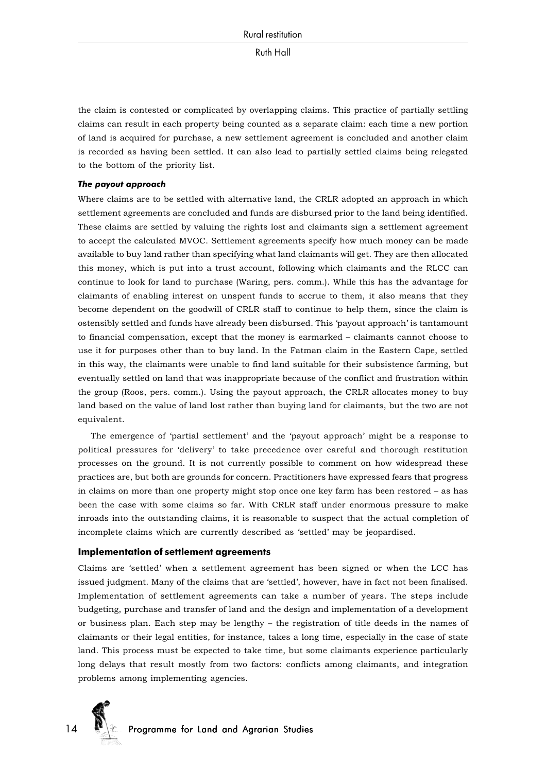the claim is contested or complicated by overlapping claims. This practice of partially settling claims can result in each property being counted as a separate claim: each time a new portion of land is acquired for purchase, a new settlement agreement is concluded and another claim is recorded as having been settled. It can also lead to partially settled claims being relegated to the bottom of the priority list.

#### *The payout approach*

Where claims are to be settled with alternative land, the CRLR adopted an approach in which settlement agreements are concluded and funds are disbursed prior to the land being identified. These claims are settled by valuing the rights lost and claimants sign a settlement agreement to accept the calculated MVOC. Settlement agreements specify how much money can be made available to buy land rather than specifying what land claimants will get. They are then allocated this money, which is put into a trust account, following which claimants and the RLCC can continue to look for land to purchase (Waring, pers. comm.). While this has the advantage for claimants of enabling interest on unspent funds to accrue to them, it also means that they become dependent on the goodwill of CRLR staff to continue to help them, since the claim is ostensibly settled and funds have already been disbursed. This 'payout approach' is tantamount to financial compensation, except that the money is earmarked – claimants cannot choose to use it for purposes other than to buy land. In the Fatman claim in the Eastern Cape, settled in this way, the claimants were unable to find land suitable for their subsistence farming, but eventually settled on land that was inappropriate because of the conflict and frustration within the group (Roos, pers. comm.). Using the payout approach, the CRLR allocates money to buy land based on the value of land lost rather than buying land for claimants, but the two are not equivalent.

The emergence of 'partial settlement' and the 'payout approach' might be a response to political pressures for 'delivery' to take precedence over careful and thorough restitution processes on the ground. It is not currently possible to comment on how widespread these practices are, but both are grounds for concern. Practitioners have expressed fears that progress in claims on more than one property might stop once one key farm has been restored – as has been the case with some claims so far. With CRLR staff under enormous pressure to make inroads into the outstanding claims, it is reasonable to suspect that the actual completion of incomplete claims which are currently described as 'settled' may be jeopardised.

#### **Implementation of settlement agreements**

Claims are 'settled' when a settlement agreement has been signed or when the LCC has issued judgment. Many of the claims that are 'settled', however, have in fact not been finalised. Implementation of settlement agreements can take a number of years. The steps include budgeting, purchase and transfer of land and the design and implementation of a development or business plan. Each step may be lengthy – the registration of title deeds in the names of claimants or their legal entities, for instance, takes a long time, especially in the case of state land. This process must be expected to take time, but some claimants experience particularly long delays that result mostly from two factors: conflicts among claimants, and integration problems among implementing agencies.

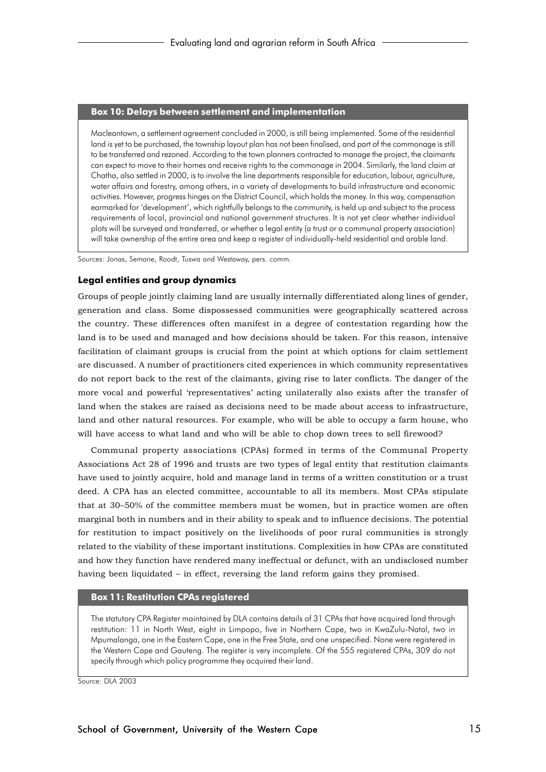#### **Box 10: Delays between settlement and implementation**

Macleantown, a settlement agreement concluded in 2000, is still being implemented. Some of the residential land is yet to be purchased, the township layout plan has not been finalised, and part of the commonage is still to be transferred and rezoned. According to the town planners contracted to manage the project, the claimants can expect to move to their homes and receive rights to the commonage in 2004. Similarly, the land claim at Chatha, also settled in 2000, is to involve the line departments responsible for education, labour, agriculture, water affairs and forestry, among others, in a variety of developments to build infrastructure and economic activities. However, progress hinges on the District Council, which holds the money. In this way, compensation earmarked for 'development', which rightfully belongs to the community, is held up and subject to the process requirements of local, provincial and national government structures. It is not yet clear whether individual plots will be surveyed and transferred, or whether a legal entity (a trust or a communal property association) will take ownership of the entire area and keep a register of individually-held residential and arable land.

Sources: Jonas, Semane, Roodt, Tuswa and Westaway, pers. comm.

#### **Legal entities and group dynamics**

Groups of people jointly claiming land are usually internally differentiated along lines of gender, generation and class. Some dispossessed communities were geographically scattered across the country. These differences often manifest in a degree of contestation regarding how the land is to be used and managed and how decisions should be taken. For this reason, intensive facilitation of claimant groups is crucial from the point at which options for claim settlement are discussed. A number of practitioners cited experiences in which community representatives do not report back to the rest of the claimants, giving rise to later conflicts. The danger of the more vocal and powerful 'representatives' acting unilaterally also exists after the transfer of land when the stakes are raised as decisions need to be made about access to infrastructure, land and other natural resources. For example, who will be able to occupy a farm house, who will have access to what land and who will be able to chop down trees to sell firewood?

Communal property associations (CPAs) formed in terms of the Communal Property Associations Act 28 of 1996 and trusts are two types of legal entity that restitution claimants have used to jointly acquire, hold and manage land in terms of a written constitution or a trust deed. A CPA has an elected committee, accountable to all its members. Most CPAs stipulate that at 30–50% of the committee members must be women, but in practice women are often marginal both in numbers and in their ability to speak and to influence decisions. The potential for restitution to impact positively on the livelihoods of poor rural communities is strongly related to the viability of these important institutions. Complexities in how CPAs are constituted and how they function have rendered many ineffectual or defunct, with an undisclosed number having been liquidated – in effect, reversing the land reform gains they promised.

## **Box 11: Restitution CPAs registered**

The statutory CPA Register maintained by DLA contains details of 31 CPAs that have acquired land through restitution: 11 in North West, eight in Limpopo, five in Northern Cape, two in KwaZulu-Natal, two in Mpumalanga, one in the Eastern Cape, one in the Free State, and one unspecified. None were registered in the Western Cape and Gauteng. The register is very incomplete. Of the 555 registered CPAs, 309 do not specify through which policy programme they acquired their land.

Source: DLA 2003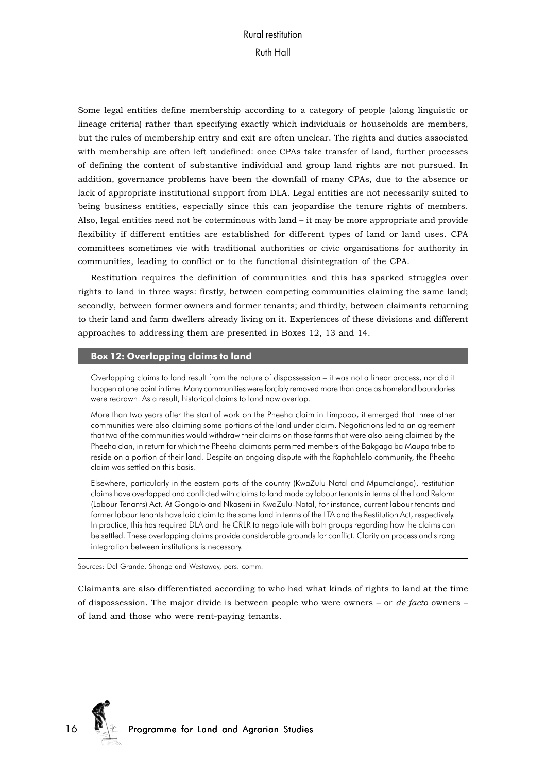Some legal entities define membership according to a category of people (along linguistic or lineage criteria) rather than specifying exactly which individuals or households are members, but the rules of membership entry and exit are often unclear. The rights and duties associated with membership are often left undefined: once CPAs take transfer of land, further processes of defining the content of substantive individual and group land rights are not pursued. In addition, governance problems have been the downfall of many CPAs, due to the absence or lack of appropriate institutional support from DLA. Legal entities are not necessarily suited to being business entities, especially since this can jeopardise the tenure rights of members. Also, legal entities need not be coterminous with land – it may be more appropriate and provide flexibility if different entities are established for different types of land or land uses. CPA committees sometimes vie with traditional authorities or civic organisations for authority in communities, leading to conflict or to the functional disintegration of the CPA.

Restitution requires the definition of communities and this has sparked struggles over rights to land in three ways: firstly, between competing communities claiming the same land; secondly, between former owners and former tenants; and thirdly, between claimants returning to their land and farm dwellers already living on it. Experiences of these divisions and different approaches to addressing them are presented in Boxes 12, 13 and 14.

## **Box 12: Overlapping claims to land**

Overlapping claims to land result from the nature of dispossession – it was not a linear process, nor did it happen at one point in time. Many communities were forcibly removed more than once as homeland boundaries were redrawn. As a result, historical claims to land now overlap.

More than two years after the start of work on the Pheeha claim in Limpopo, it emerged that three other communities were also claiming some portions of the land under claim. Negotiations led to an agreement that two of the communities would withdraw their claims on those farms that were also being claimed by the Pheeha clan, in return for which the Pheeha claimants permitted members of the Bakgaga ba Maupa tribe to reside on a portion of their land. Despite an ongoing dispute with the Raphahlelo community, the Pheeha claim was settled on this basis.

Elsewhere, particularly in the eastern parts of the country (KwaZulu-Natal and Mpumalanga), restitution claims have overlapped and conflicted with claims to land made by labour tenants in terms of the Land Reform (Labour Tenants) Act. At Gongolo and Nkaseni in KwaZulu-Natal, for instance, current labour tenants and former labour tenants have laid claim to the same land in terms of the LTA and the Restitution Act, respectively. In practice, this has required DLA and the CRLR to negotiate with both groups regarding how the claims can be settled. These overlapping claims provide considerable grounds for conflict. Clarity on process and strong integration between institutions is necessary.

Sources: Del Grande, Shange and Westaway, pers. comm.

Claimants are also differentiated according to who had what kinds of rights to land at the time of dispossession. The major divide is between people who were owners – or *de facto* owners – of land and those who were rent-paying tenants.

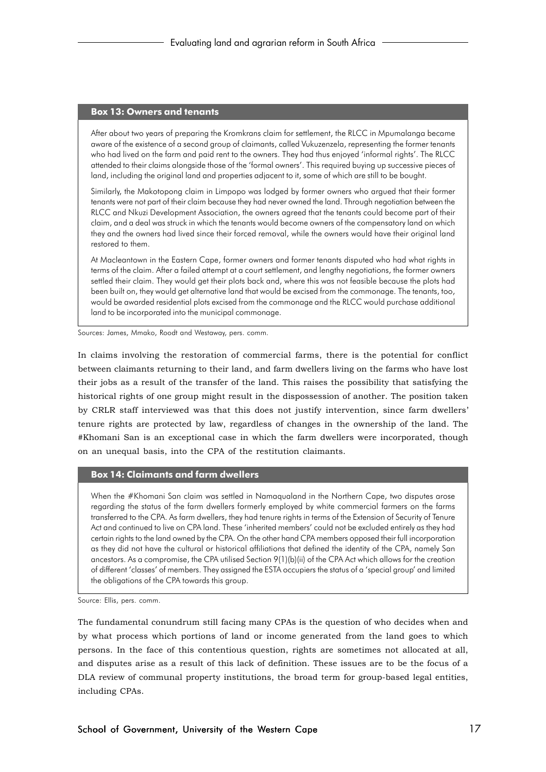#### **Box 13: Owners and tenants**

After about two years of preparing the Kromkrans claim for settlement, the RLCC in Mpumalanga became aware of the existence of a second group of claimants, called Vukuzenzela, representing the former tenants who had lived on the farm and paid rent to the owners. They had thus enjoyed 'informal rights'. The RLCC attended to their claims alongside those of the 'formal owners'. This required buying up successive pieces of land, including the original land and properties adjacent to it, some of which are still to be bought.

Similarly, the Makotopong claim in Limpopo was lodged by former owners who argued that their former tenants were not part of their claim because they had never owned the land. Through negotiation between the RLCC and Nkuzi Development Association, the owners agreed that the tenants could become part of their claim, and a deal was struck in which the tenants would become owners of the compensatory land on which they and the owners had lived since their forced removal, while the owners would have their original land restored to them.

At Macleantown in the Eastern Cape, former owners and former tenants disputed who had what rights in terms of the claim. After a failed attempt at a court settlement, and lengthy negotiations, the former owners settled their claim. They would get their plots back and, where this was not feasible because the plots had been built on, they would get alternative land that would be excised from the commonage. The tenants, too, would be awarded residential plots excised from the commonage and the RLCC would purchase additional land to be incorporated into the municipal commonage.

Sources: James, Mmako, Roodt and Westaway, pers. comm.

In claims involving the restoration of commercial farms, there is the potential for conflict between claimants returning to their land, and farm dwellers living on the farms who have lost their jobs as a result of the transfer of the land. This raises the possibility that satisfying the historical rights of one group might result in the dispossession of another. The position taken by CRLR staff interviewed was that this does not justify intervention, since farm dwellers' tenure rights are protected by law, regardless of changes in the ownership of the land. The #Khomani San is an exceptional case in which the farm dwellers were incorporated, though on an unequal basis, into the CPA of the restitution claimants.

#### **Box 14: Claimants and farm dwellers**

When the #Khomani San claim was settled in Namaqualand in the Northern Cape, two disputes arose regarding the status of the farm dwellers formerly employed by white commercial farmers on the farms transferred to the CPA. As farm dwellers, they had tenure rights in terms of the Extension of Security of Tenure Act and continued to live on CPA land. These 'inherited members' could not be excluded entirely as they had certain rights to the land owned by the CPA. On the other hand CPA members opposed their full incorporation as they did not have the cultural or historical affiliations that defined the identity of the CPA, namely San ancestors. As a compromise, the CPA utilised Section 9(1)(b)(ii) of the CPA Act which allows for the creation of different 'classes' of members. They assigned the ESTA occupiers the status of a 'special group' and limited the obligations of the CPA towards this group.

Source: Ellis, pers. comm.

The fundamental conundrum still facing many CPAs is the question of who decides when and by what process which portions of land or income generated from the land goes to which persons. In the face of this contentious question, rights are sometimes not allocated at all, and disputes arise as a result of this lack of definition. These issues are to be the focus of a DLA review of communal property institutions, the broad term for group-based legal entities, including CPAs.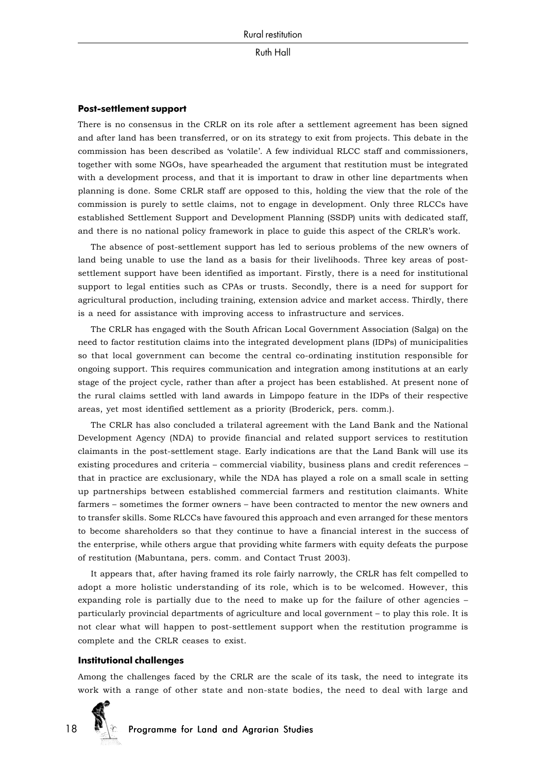#### **Post-settlement support**

There is no consensus in the CRLR on its role after a settlement agreement has been signed and after land has been transferred, or on its strategy to exit from projects. This debate in the commission has been described as 'volatile'. A few individual RLCC staff and commissioners, together with some NGOs, have spearheaded the argument that restitution must be integrated with a development process, and that it is important to draw in other line departments when planning is done. Some CRLR staff are opposed to this, holding the view that the role of the commission is purely to settle claims, not to engage in development. Only three RLCCs have established Settlement Support and Development Planning (SSDP) units with dedicated staff, and there is no national policy framework in place to guide this aspect of the CRLR's work.

The absence of post-settlement support has led to serious problems of the new owners of land being unable to use the land as a basis for their livelihoods. Three key areas of postsettlement support have been identified as important. Firstly, there is a need for institutional support to legal entities such as CPAs or trusts. Secondly, there is a need for support for agricultural production, including training, extension advice and market access. Thirdly, there is a need for assistance with improving access to infrastructure and services.

The CRLR has engaged with the South African Local Government Association (Salga) on the need to factor restitution claims into the integrated development plans (IDPs) of municipalities so that local government can become the central co-ordinating institution responsible for ongoing support. This requires communication and integration among institutions at an early stage of the project cycle, rather than after a project has been established. At present none of the rural claims settled with land awards in Limpopo feature in the IDPs of their respective areas, yet most identified settlement as a priority (Broderick, pers. comm.).

The CRLR has also concluded a trilateral agreement with the Land Bank and the National Development Agency (NDA) to provide financial and related support services to restitution claimants in the post-settlement stage. Early indications are that the Land Bank will use its existing procedures and criteria – commercial viability, business plans and credit references – that in practice are exclusionary, while the NDA has played a role on a small scale in setting up partnerships between established commercial farmers and restitution claimants. White farmers – sometimes the former owners – have been contracted to mentor the new owners and to transfer skills. Some RLCCs have favoured this approach and even arranged for these mentors to become shareholders so that they continue to have a financial interest in the success of the enterprise, while others argue that providing white farmers with equity defeats the purpose of restitution (Mabuntana, pers. comm. and Contact Trust 2003).

It appears that, after having framed its role fairly narrowly, the CRLR has felt compelled to adopt a more holistic understanding of its role, which is to be welcomed. However, this expanding role is partially due to the need to make up for the failure of other agencies – particularly provincial departments of agriculture and local government – to play this role. It is not clear what will happen to post-settlement support when the restitution programme is complete and the CRLR ceases to exist.

#### **Institutional challenges**

Among the challenges faced by the CRLR are the scale of its task, the need to integrate its work with a range of other state and non-state bodies, the need to deal with large and

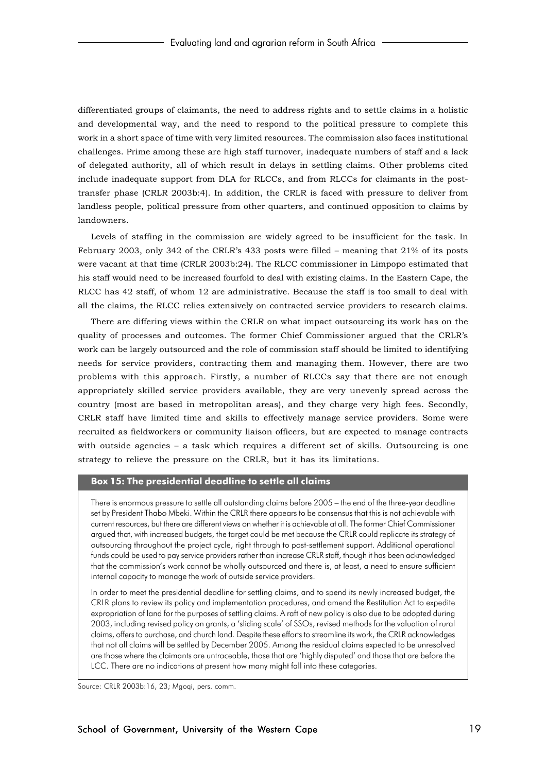differentiated groups of claimants, the need to address rights and to settle claims in a holistic and developmental way, and the need to respond to the political pressure to complete this work in a short space of time with very limited resources. The commission also faces institutional challenges. Prime among these are high staff turnover, inadequate numbers of staff and a lack of delegated authority, all of which result in delays in settling claims. Other problems cited include inadequate support from DLA for RLCCs, and from RLCCs for claimants in the posttransfer phase (CRLR 2003b:4). In addition, the CRLR is faced with pressure to deliver from landless people, political pressure from other quarters, and continued opposition to claims by landowners.

Levels of staffing in the commission are widely agreed to be insufficient for the task. In February 2003, only 342 of the CRLR's 433 posts were filled – meaning that 21% of its posts were vacant at that time (CRLR 2003b:24). The RLCC commissioner in Limpopo estimated that his staff would need to be increased fourfold to deal with existing claims. In the Eastern Cape, the RLCC has 42 staff, of whom 12 are administrative. Because the staff is too small to deal with all the claims, the RLCC relies extensively on contracted service providers to research claims.

There are differing views within the CRLR on what impact outsourcing its work has on the quality of processes and outcomes. The former Chief Commissioner argued that the CRLR's work can be largely outsourced and the role of commission staff should be limited to identifying needs for service providers, contracting them and managing them. However, there are two problems with this approach. Firstly, a number of RLCCs say that there are not enough appropriately skilled service providers available, they are very unevenly spread across the country (most are based in metropolitan areas), and they charge very high fees. Secondly, CRLR staff have limited time and skills to effectively manage service providers. Some were recruited as fieldworkers or community liaison officers, but are expected to manage contracts with outside agencies – a task which requires a different set of skills. Outsourcing is one strategy to relieve the pressure on the CRLR, but it has its limitations.

#### **Box 15: The presidential deadline to settle all claims**

There is enormous pressure to settle all outstanding claims before 2005 – the end of the three-year deadline set by President Thabo Mbeki. Within the CRLR there appears to be consensus that this is not achievable with current resources, but there are different views on whether it is achievable at all. The former Chief Commissioner argued that, with increased budgets, the target could be met because the CRLR could replicate its strategy of outsourcing throughout the project cycle, right through to post-settlement support. Additional operational funds could be used to pay service providers rather than increase CRLR staff, though it has been acknowledged that the commission's work cannot be wholly outsourced and there is, at least, a need to ensure sufficient internal capacity to manage the work of outside service providers.

In order to meet the presidential deadline for settling claims, and to spend its newly increased budget, the CRLR plans to review its policy and implementation procedures, and amend the Restitution Act to expedite expropriation of land for the purposes of settling claims. A raft of new policy is also due to be adopted during 2003, including revised policy on grants, a 'sliding scale' of SSOs, revised methods for the valuation of rural claims, offers to purchase, and church land. Despite these efforts to streamline its work, the CRLR acknowledges that not all claims will be settled by December 2005. Among the residual claims expected to be unresolved are those where the claimants are untraceable, those that are 'highly disputed' and those that are before the LCC. There are no indications at present how many might fall into these categories.

Source: CRLR 2003b:16, 23; Mgoqi, pers. comm.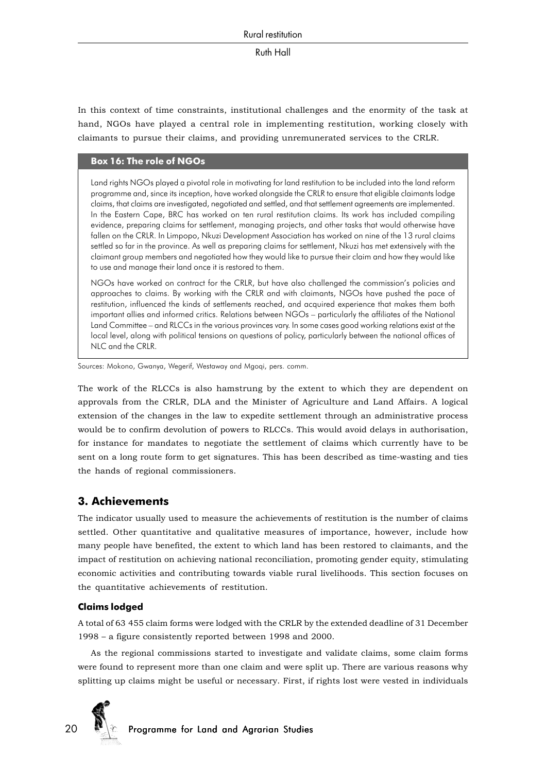In this context of time constraints, institutional challenges and the enormity of the task at hand, NGOs have played a central role in implementing restitution, working closely with claimants to pursue their claims, and providing unremunerated services to the CRLR.

#### **Box 16: The role of NGOs**

Land rights NGOs played a pivotal role in motivating for land restitution to be included into the land reform programme and, since its inception, have worked alongside the CRLR to ensure that eligible claimants lodge claims, that claims are investigated, negotiated and settled, and that settlement agreements are implemented. In the Eastern Cape, BRC has worked on ten rural restitution claims. Its work has included compiling evidence, preparing claims for settlement, managing projects, and other tasks that would otherwise have fallen on the CRLR. In Limpopo, Nkuzi Development Association has worked on nine of the 13 rural claims settled so far in the province. As well as preparing claims for settlement, Nkuzi has met extensively with the claimant group members and negotiated how they would like to pursue their claim and how they would like to use and manage their land once it is restored to them.

NGOs have worked on contract for the CRLR, but have also challenged the commission's policies and approaches to claims. By working with the CRLR and with claimants, NGOs have pushed the pace of restitution, influenced the kinds of settlements reached, and acquired experience that makes them both important allies and informed critics. Relations between NGOs – particularly the affiliates of the National Land Committee – and RLCCs in the various provinces vary. In some cases good working relations exist at the local level, along with political tensions on questions of policy, particularly between the national offices of NLC and the CRLR.

Sources: Mokono, Gwanya, Wegerif, Westaway and Mgoqi, pers. comm.

The work of the RLCCs is also hamstrung by the extent to which they are dependent on approvals from the CRLR, DLA and the Minister of Agriculture and Land Affairs. A logical extension of the changes in the law to expedite settlement through an administrative process would be to confirm devolution of powers to RLCCs. This would avoid delays in authorisation, for instance for mandates to negotiate the settlement of claims which currently have to be sent on a long route form to get signatures. This has been described as time-wasting and ties the hands of regional commissioners.

## **3. Achievements**

The indicator usually used to measure the achievements of restitution is the number of claims settled. Other quantitative and qualitative measures of importance, however, include how many people have benefited, the extent to which land has been restored to claimants, and the impact of restitution on achieving national reconciliation, promoting gender equity, stimulating economic activities and contributing towards viable rural livelihoods. This section focuses on the quantitative achievements of restitution.

## **Claims lodged**

A total of 63 455 claim forms were lodged with the CRLR by the extended deadline of 31 December 1998 – a figure consistently reported between 1998 and 2000.

As the regional commissions started to investigate and validate claims, some claim forms were found to represent more than one claim and were split up. There are various reasons why splitting up claims might be useful or necessary. First, if rights lost were vested in individuals

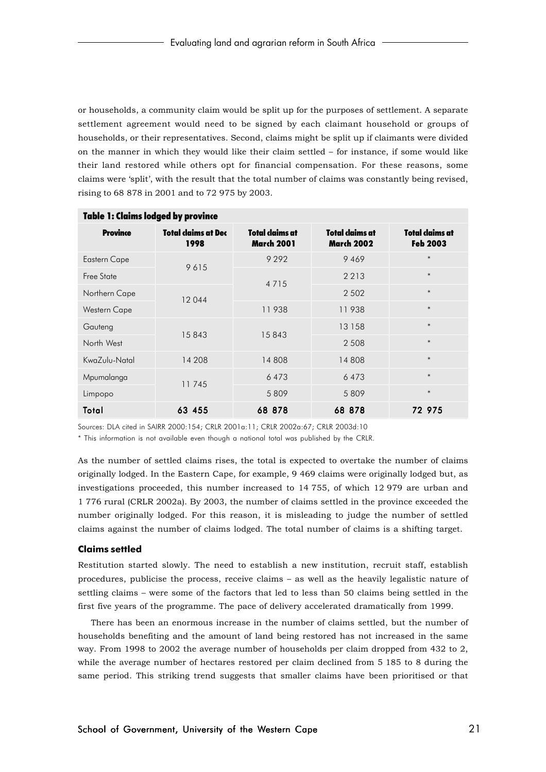or households, a community claim would be split up for the purposes of settlement. A separate settlement agreement would need to be signed by each claimant household or groups of households, or their representatives. Second, claims might be split up if claimants were divided on the manner in which they would like their claim settled – for instance, if some would like their land restored while others opt for financial compensation. For these reasons, some claims were 'split', with the result that the total number of claims was constantly being revised, rising to 68 878 in 2001 and to 72 975 by 2003.

| <b>Table 1: Claims lodged by province</b> |                             |                                      |                                      |                                    |  |  |
|-------------------------------------------|-----------------------------|--------------------------------------|--------------------------------------|------------------------------------|--|--|
| <b>Province</b>                           | Total claims at Dec<br>1998 | Total claims at<br><b>March 2001</b> | Total claims at<br><b>March 2002</b> | Total claims at<br><b>Feb 2003</b> |  |  |
| <b>Eastern Cape</b>                       | 9615                        | 9 2 9 2                              | 9469                                 | $\ast$                             |  |  |
| Free State                                |                             |                                      | 2 2 1 3                              | $\ast$                             |  |  |
| Northern Cape                             | 12044                       | 4 7 1 5                              | 2 5 0 2                              | $\ast$                             |  |  |
| Western Cape                              |                             | 11938                                | 11938                                | $\ast$                             |  |  |
| Gauteng                                   |                             | 15843<br>15843                       | 13 158                               | $\ast$                             |  |  |
| North West                                |                             |                                      | 2 5 0 8                              | $\ast$                             |  |  |
| KwaZulu-Natal                             | 14 208                      | 14808                                | 14808                                | $\ast$                             |  |  |
| Mpumalanga                                | 11745                       | 6473                                 | 6473                                 | $\ast$                             |  |  |
| Limpopo                                   |                             | 5809                                 | 5809                                 | $\ast$                             |  |  |
| Total                                     | 63 455                      | 68 878                               | 68 878                               | 72 975                             |  |  |

Sources: DLA cited in SAIRR 2000:154; CRLR 2001a:11; CRLR 2002a:67; CRLR 2003d:10

\* This information is not available even though a national total was published by the CRLR.

As the number of settled claims rises, the total is expected to overtake the number of claims originally lodged. In the Eastern Cape, for example, 9 469 claims were originally lodged but, as investigations proceeded, this number increased to 14 755, of which 12 979 are urban and 1 776 rural (CRLR 2002a). By 2003, the number of claims settled in the province exceeded the number originally lodged. For this reason, it is misleading to judge the number of settled claims against the number of claims lodged. The total number of claims is a shifting target.

#### **Claims settled**

Restitution started slowly. The need to establish a new institution, recruit staff, establish procedures, publicise the process, receive claims – as well as the heavily legalistic nature of settling claims – were some of the factors that led to less than 50 claims being settled in the first five years of the programme. The pace of delivery accelerated dramatically from 1999.

There has been an enormous increase in the number of claims settled, but the number of households benefiting and the amount of land being restored has not increased in the same way. From 1998 to 2002 the average number of households per claim dropped from 432 to 2, while the average number of hectares restored per claim declined from 5 185 to 8 during the same period. This striking trend suggests that smaller claims have been prioritised or that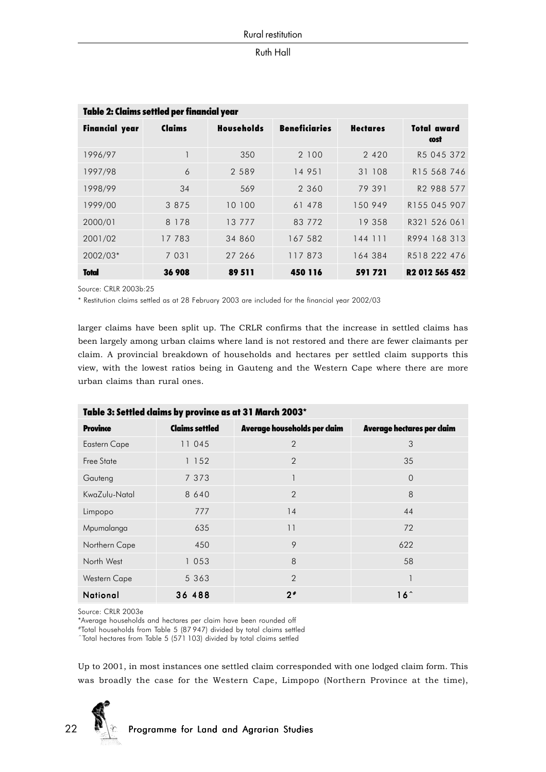| Table 2: Claims settled per financial year |         |                   |                      |                 |                            |  |
|--------------------------------------------|---------|-------------------|----------------------|-----------------|----------------------------|--|
| <b>Financial year</b>                      | Claims  | <b>Households</b> | <b>Beneficiaries</b> | <b>Hectares</b> | Total award<br>cost        |  |
| 1996/97                                    |         | 350               | 2 1 0 0              | 2 4 2 0         | R5 045 372                 |  |
| 1997/98                                    | 6       | 2 5 8 9           | 14 951               | 31 108          | R15 568 746                |  |
| 1998/99                                    | 34      | 569               | 2 360                | 79 391          | R2 988 577                 |  |
| 1999/00                                    | 3 8 7 5 | 10 100            | 61 478               | 150 949         | R155 045 907               |  |
| 2000/01                                    | 8 1 7 8 | 13 7 7 7          | 83 772               | 19 358          | R321 526 061               |  |
| 2001/02                                    | 17 783  | 34 860            | 167 582              | 144 111         | R994 168 313               |  |
| 2002/03*                                   | 7 0 3 1 | 27 266            | 117873               | 164 384         | R518 222 476               |  |
| <b>Total</b>                               | 36 908  | 89 511            | 450 116              | 591721          | R <sub>2</sub> 012 565 452 |  |

Source: CRLR 2003b:25

\* Restitution claims settled as at 28 February 2003 are included for the financial year 2002/03

larger claims have been split up. The CRLR confirms that the increase in settled claims has been largely among urban claims where land is not restored and there are fewer claimants per claim. A provincial breakdown of households and hectares per settled claim supports this view, with the lowest ratios being in Gauteng and the Western Cape where there are more urban claims than rural ones.

| Table 3: Settled claims by province as at 31 March 2003* |                       |                              |                            |  |  |  |
|----------------------------------------------------------|-----------------------|------------------------------|----------------------------|--|--|--|
| <b>Province</b>                                          | <b>Claims settled</b> | Average households per claim | Average hectares per claim |  |  |  |
| <b>Eastern Cape</b>                                      | 11 045                | $\overline{2}$               | 3                          |  |  |  |
| Free State                                               | 1 152                 | $\overline{2}$               | 35                         |  |  |  |
| Gauteng                                                  | 7 3 7 3               |                              | $\Omega$                   |  |  |  |
| KwaZulu-Natal                                            | 8 640                 | $\overline{2}$               | 8                          |  |  |  |
| Limpopo                                                  | 777                   | 14                           | 44                         |  |  |  |
| Mpumalanga                                               | 635                   | 11                           | 72                         |  |  |  |
| Northern Cape                                            | 450                   | 9                            | 622                        |  |  |  |
| North West                                               | 1053                  | 8                            | 58                         |  |  |  |
| <b>Western Cape</b>                                      | 5 363                 | $\mathcal{P}$                |                            |  |  |  |
| National                                                 | 36 488                | $2*$                         | $16^{\circ}$               |  |  |  |

Source: CRLR 2003e

\*Average households and hectares per claim have been rounded off

#Total households from Table 5 (87 947) divided by total claims settled

 $\hat{\ }$  Total hectares from Table 5 (571 103) divided by total claims settled

Up to 2001, in most instances one settled claim corresponded with one lodged claim form. This was broadly the case for the Western Cape, Limpopo (Northern Province at the time),

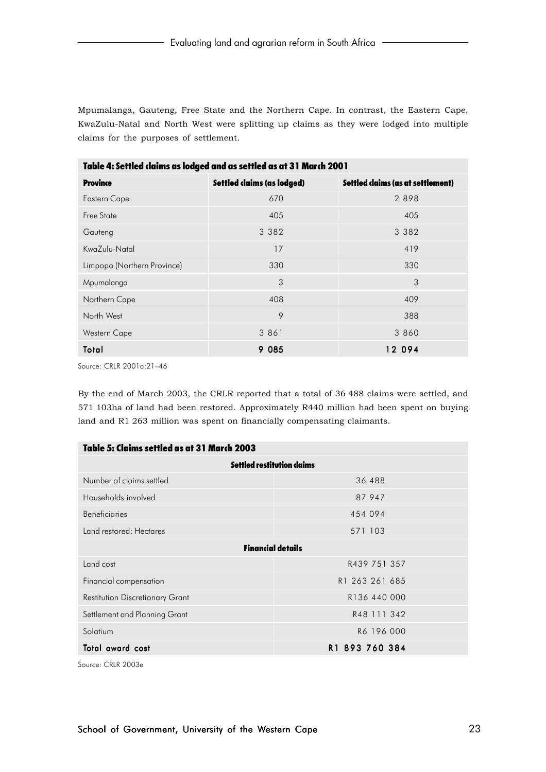Mpumalanga, Gauteng, Free State and the Northern Cape. In contrast, the Eastern Cape, KwaZulu-Natal and North West were splitting up claims as they were lodged into multiple claims for the purposes of settlement.

| Table 4: Settled claims as lodged and as settled as at 31 March 2001 |                                   |  |  |  |  |  |  |
|----------------------------------------------------------------------|-----------------------------------|--|--|--|--|--|--|
| <b>Settled claims (as lodged)</b>                                    | Settled claims (as at settlement) |  |  |  |  |  |  |
| 670                                                                  | 2898                              |  |  |  |  |  |  |
| 405                                                                  | 405                               |  |  |  |  |  |  |
| 3 3 8 2                                                              | 3 3 8 2                           |  |  |  |  |  |  |
| 17                                                                   | 419                               |  |  |  |  |  |  |
| 330                                                                  | 330                               |  |  |  |  |  |  |
| 3                                                                    | 3                                 |  |  |  |  |  |  |
| 408                                                                  | 409                               |  |  |  |  |  |  |
| 9                                                                    | 388                               |  |  |  |  |  |  |
| 3 8 6 1                                                              | 3 860                             |  |  |  |  |  |  |
| 9 085                                                                | 12 094                            |  |  |  |  |  |  |
|                                                                      |                                   |  |  |  |  |  |  |

Source: CRLR 2001a:21–46

By the end of March 2003, the CRLR reported that a total of 36 488 claims were settled, and 571 103ha of land had been restored. Approximately R440 million had been spent on buying land and R1 263 million was spent on financially compensating claimants.

| Table 5: Claims settled as at 31 March 2003 |                                   |  |  |
|---------------------------------------------|-----------------------------------|--|--|
|                                             | <b>Settled restitution claims</b> |  |  |
| Number of claims settled                    | 36 488                            |  |  |
| Households involved                         | 87 947                            |  |  |
| <b>Beneficiaries</b>                        | 454 094                           |  |  |
| Land restored: Hectares                     | 571 103                           |  |  |
|                                             | <b>Financial details</b>          |  |  |
| Land cost                                   | R439 751 357                      |  |  |
| Financial compensation                      | R1 263 261 685                    |  |  |
| <b>Restitution Discretionary Grant</b>      | R136 440 000                      |  |  |
| Settlement and Planning Grant               | R48 111 342                       |  |  |
| Solatium                                    | R6 196 000                        |  |  |
| R1 893 760 384<br>Total award cost          |                                   |  |  |

Source: CRLR 2003e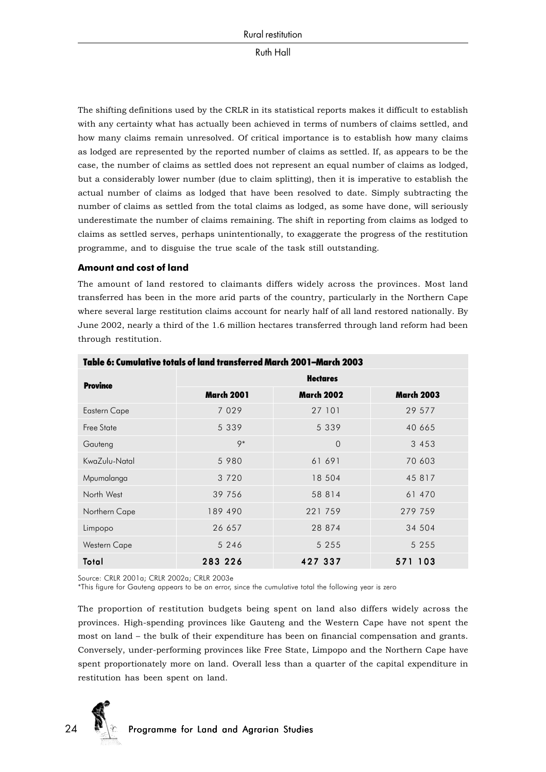The shifting definitions used by the CRLR in its statistical reports makes it difficult to establish with any certainty what has actually been achieved in terms of numbers of claims settled, and how many claims remain unresolved. Of critical importance is to establish how many claims as lodged are represented by the reported number of claims as settled. If, as appears to be the case, the number of claims as settled does not represent an equal number of claims as lodged, but a considerably lower number (due to claim splitting), then it is imperative to establish the actual number of claims as lodged that have been resolved to date. Simply subtracting the number of claims as settled from the total claims as lodged, as some have done, will seriously underestimate the number of claims remaining. The shift in reporting from claims as lodged to claims as settled serves, perhaps unintentionally, to exaggerate the progress of the restitution programme, and to disguise the true scale of the task still outstanding.

**Amount and cost of land**

The amount of land restored to claimants differs widely across the provinces. Most land transferred has been in the more arid parts of the country, particularly in the Northern Cape where several large restitution claims account for nearly half of all land restored nationally. By June 2002, nearly a third of the 1.6 million hectares transferred through land reform had been through restitution.

| <b>Province</b>     | <b>Hectares</b>   |                   |                   |  |  |
|---------------------|-------------------|-------------------|-------------------|--|--|
|                     | <b>March 2001</b> | <b>March 2002</b> | <b>March 2003</b> |  |  |
| <b>Eastern Cape</b> | 7 0 2 9           | 27 101            | 29 577            |  |  |
| Free State          | 5 3 3 9           | 5 3 3 9           | 40 665            |  |  |
| Gauteng             | $9*$              | $\Omega$          | 3 4 5 3           |  |  |
| KwaZulu-Natal       | 5 9 8 0           | 61 691            | 70 603            |  |  |
| Mpumalanga          | 3 7 2 0           | 18 504            | 45 817            |  |  |
| North West          | 39 756            | 58 8 14           | 61 470            |  |  |
| Northern Cape       | 189 490           | 221 759           | 279 759           |  |  |
| Limpopo             | 26 657            | 28 874            | 34 504            |  |  |
| Western Cape        | 5 2 4 6           | 5 2 5 5           | 5 2 5 5           |  |  |
| Total               | 283 226           | 427 337           | 571 103           |  |  |

## Table 6: Cumulative totals of land transferred March 2001–March 2003

Source: CRLR 2001a; CRLR 2002a; CRLR 2003e

\*This figure for Gauteng appears to be an error, since the cumulative total the following year is zero

The proportion of restitution budgets being spent on land also differs widely across the provinces. High-spending provinces like Gauteng and the Western Cape have not spent the most on land – the bulk of their expenditure has been on financial compensation and grants. Conversely, under-performing provinces like Free State, Limpopo and the Northern Cape have spent proportionately more on land. Overall less than a quarter of the capital expenditure in restitution has been spent on land.

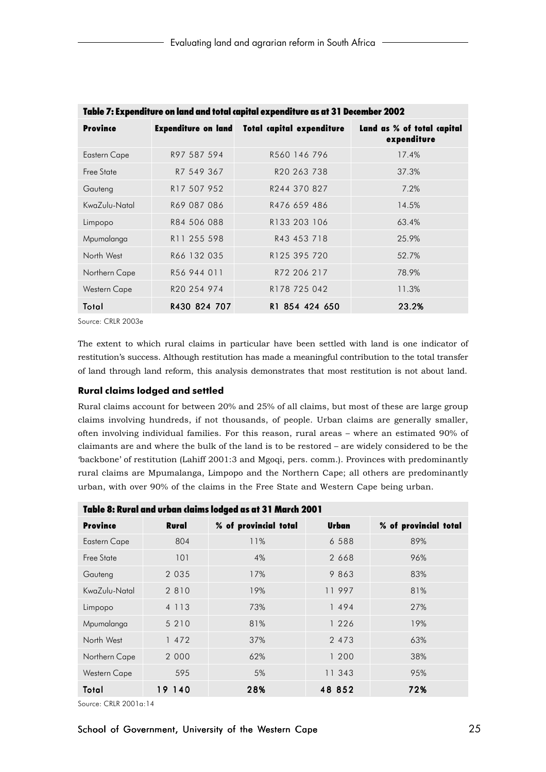| Table 7: Expenditure on land and fotal capital expenditure as at 3 I December 2002 |                         |                                                      |                                           |  |  |
|------------------------------------------------------------------------------------|-------------------------|------------------------------------------------------|-------------------------------------------|--|--|
| <b>Province</b>                                                                    |                         | <b>Expenditure on land Total capital expenditure</b> | Land as % of total capital<br>expenditure |  |  |
| <b>Eastern Cape</b>                                                                | R97 587 594             | R560 146 796                                         | 17.4%                                     |  |  |
| Free State                                                                         | R7 549 367              | R20 263 738                                          | 37.3%                                     |  |  |
| Gauteng                                                                            | R17 507 952             | R244 370 827                                         | 7.2%                                      |  |  |
| KwaZulu-Natal                                                                      | R69 087 086             | R476 659 486                                         | 14.5%                                     |  |  |
| Limpopo                                                                            | R84 506 088             | R133 203 106                                         | 63.4%                                     |  |  |
| Mpumalanga                                                                         | R <sub>11</sub> 255 598 | R43 453 718                                          | 25.9%                                     |  |  |
| North West                                                                         | R66 132 035             | R125 395 720                                         | 52.7%                                     |  |  |
| Northern Cape                                                                      | R56 944 011             | R72 206 217                                          | 78.9%                                     |  |  |
| <b>Western Cape</b>                                                                | R20 254 974             | R178 725 042                                         | 11.3%                                     |  |  |
| Total                                                                              | R430 824 707            | R1 854 424 650                                       | 23.2%                                     |  |  |

Table 7: Expenditure on land and total capital expenditure as at 31 December 2002

Source: CRLR 2003e

The extent to which rural claims in particular have been settled with land is one indicator of restitution's success. Although restitution has made a meaningful contribution to the total transfer of land through land reform, this analysis demonstrates that most restitution is not about land.

## **Rural claims lodged and settled**

Rural claims account for between 20% and 25% of all claims, but most of these are large group claims involving hundreds, if not thousands, of people. Urban claims are generally smaller, often involving individual families. For this reason, rural areas – where an estimated 90% of claimants are and where the bulk of the land is to be restored – are widely considered to be the 'backbone' of restitution (Lahiff 2001:3 and Mgoqi, pers. comm.). Provinces with predominantly rural claims are Mpumalanga, Limpopo and the Northern Cape; all others are predominantly urban, with over 90% of the claims in the Free State and Western Cape being urban.

| <u>I ANIC O' VAI AI AIIA AI NA</u><br>Guillis Iougeu us ul 3 Finurgi Zoo F |              |                       |         |                       |  |  |
|----------------------------------------------------------------------------|--------------|-----------------------|---------|-----------------------|--|--|
| <b>Province</b>                                                            | <b>Rural</b> | % of provincial total | Urban   | % of provincial total |  |  |
| <b>Eastern Cape</b>                                                        | 804          | 11%                   | 6 5 8 8 | 89%                   |  |  |
| Free State                                                                 | 101          | 4%                    | 2 6 6 8 | 96%                   |  |  |
| Gauteng                                                                    | 2 0 3 5      | 17%                   | 9 863   | 83%                   |  |  |
| KwaZulu-Natal                                                              | 2 8 1 0      | 19%                   | 11997   | 81%                   |  |  |
| Limpopo                                                                    | 4 1 1 3      | 73%                   | 1494    | 27%                   |  |  |
| Mpumalanga                                                                 | 5 2 1 0      | 81%                   | 1 2 2 6 | 19%                   |  |  |
| North West                                                                 | 1 472        | 37%                   | 2 4 7 3 | 63%                   |  |  |
| Northern Cape                                                              | 2 0 0 0      | 62%                   | 1 200   | 38%                   |  |  |
| Western Cape                                                               | 595          | 5%                    | 11 343  | 95%                   |  |  |
| Total                                                                      | 19 140       | 28%                   | 48 852  | 72%                   |  |  |

## Table 8: Rural and urban claims lodged as at 31 March 2001

Source: CRLR 2001a:14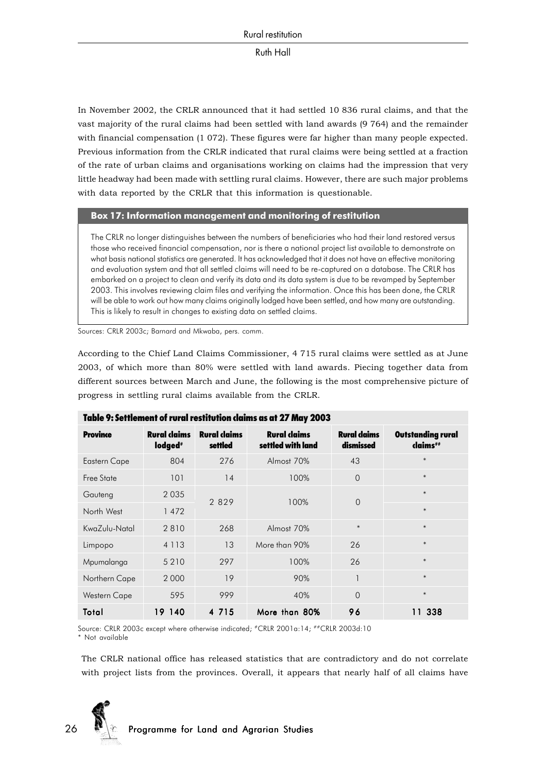In November 2002, the CRLR announced that it had settled 10 836 rural claims, and that the vast majority of the rural claims had been settled with land awards (9 764) and the remainder with financial compensation (1 072). These figures were far higher than many people expected. Previous information from the CRLR indicated that rural claims were being settled at a fraction of the rate of urban claims and organisations working on claims had the impression that very little headway had been made with settling rural claims. However, there are such major problems with data reported by the CRLR that this information is questionable.

## **Box 17: Information management and monitoring of restitution**

The CRLR no longer distinguishes between the numbers of beneficiaries who had their land restored versus those who received financial compensation, nor is there a national project list available to demonstrate on what basis national statistics are generated. It has acknowledged that it does not have an effective monitoring and evaluation system and that all settled claims will need to be re-captured on a database. The CRLR has embarked on a project to clean and verify its data and its data system is due to be revamped by September 2003. This involves reviewing claim files and verifying the information. Once this has been done, the CRLR will be able to work out how many claims originally lodged have been settled, and how many are outstanding. This is likely to result in changes to existing data on settled claims.

Sources: CRLR 2003c; Barnard and Mkwaba, pers. comm.

According to the Chief Land Claims Commissioner, 4 715 rural claims were settled as at June 2003, of which more than 80% were settled with land awards. Piecing together data from different sources between March and June, the following is the most comprehensive picture of progress in settling rural claims available from the CRLR.

| Taple 9: Settlement of Furgi restitution claims as at 27 May 2003 |                                            |                                |                                          |                                  |                                      |  |
|-------------------------------------------------------------------|--------------------------------------------|--------------------------------|------------------------------------------|----------------------------------|--------------------------------------|--|
| <b>Province</b>                                                   | <b>Rural claims</b><br>lodged <sup>#</sup> | <b>Rural claims</b><br>settled | <b>Rural claims</b><br>settled with land | <b>Rural claims</b><br>dismissed | <b>Outstanding rural</b><br>claims## |  |
| <b>Eastern Cape</b>                                               | 804                                        | 276                            | Almost 70%                               | 43                               | $\ast$                               |  |
| Free State                                                        | 101                                        | 14                             | 100%                                     | $\overline{0}$                   | $\ast$                               |  |
| Gauteng                                                           | 2035                                       |                                | 100%                                     | $\Omega$                         | $\ast$                               |  |
| North West                                                        | 1472                                       | 2 8 2 9                        |                                          |                                  | $\ast$                               |  |
| KwaZulu-Natal                                                     | 2810                                       | 268                            | Almost 70%                               | $\ast$                           | $\ast$                               |  |
| Limpopo                                                           | 4 1 1 3                                    | 13                             | More than 90%                            | 26                               | $\ast$                               |  |
| Mpumalanga                                                        | 5 2 1 0                                    | 297                            | 100%                                     | 26                               | $\ast$                               |  |
| Northern Cape                                                     | 2 0 0 0                                    | 19                             | 90%                                      | $\overline{\phantom{a}}$         | $\ast$                               |  |
| Western Cape                                                      | 595                                        | 999                            | 40%                                      | $\Omega$                         | $\ast$                               |  |
| Total                                                             | 140<br>19.                                 | 4 7 1 5                        | More than 80%                            | 96                               | 11 338                               |  |

| Table 9: Settlement of rural restitution daims as at 27 May 2003 |  |
|------------------------------------------------------------------|--|
|------------------------------------------------------------------|--|

Source: CRLR 2003c except where otherwise indicated: #CRLR 2001a:14; ##CRLR 2003d:10 \* Not available

The CRLR national office has released statistics that are contradictory and do not correlate with project lists from the provinces. Overall, it appears that nearly half of all claims have

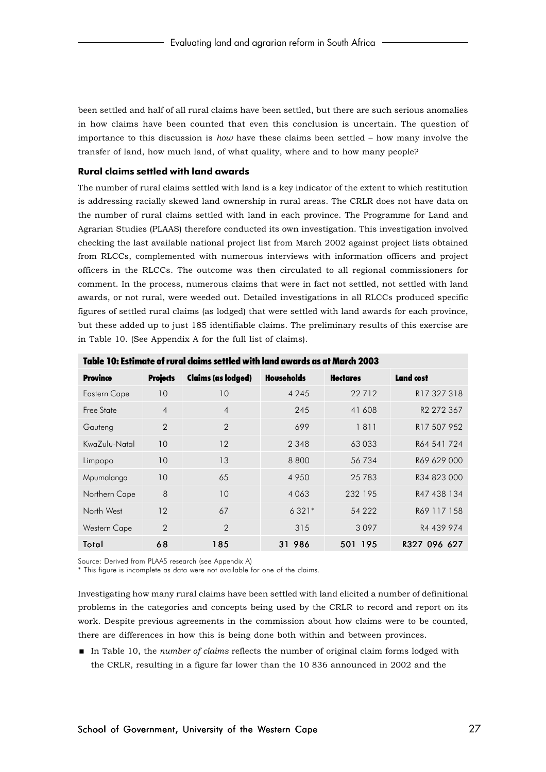been settled and half of all rural claims have been settled, but there are such serious anomalies in how claims have been counted that even this conclusion is uncertain. The question of importance to this discussion is *how* have these claims been settled – how many involve the transfer of land, how much land, of what quality, where and to how many people?

## **Rural claims settled with land awards**

The number of rural claims settled with land is a key indicator of the extent to which restitution is addressing racially skewed land ownership in rural areas. The CRLR does not have data on the number of rural claims settled with land in each province. The Programme for Land and Agrarian Studies (PLAAS) therefore conducted its own investigation. This investigation involved checking the last available national project list from March 2002 against project lists obtained from RLCCs, complemented with numerous interviews with information officers and project officers in the RLCCs. The outcome was then circulated to all regional commissioners for comment. In the process, numerous claims that were in fact not settled, not settled with land awards, or not rural, were weeded out. Detailed investigations in all RLCCs produced specific figures of settled rural claims (as lodged) that were settled with land awards for each province, but these added up to just 185 identifiable claims. The preliminary results of this exercise are in Table 10. (See Appendix A for the full list of claims).

| IUDIC IV.           | II ZUVJ         |                           |                   |                 |                        |  |  |
|---------------------|-----------------|---------------------------|-------------------|-----------------|------------------------|--|--|
| Province            | <b>Projects</b> | <b>Claims (as lodged)</b> | <b>Households</b> | <b>Hectares</b> | <b>Land cost</b>       |  |  |
| <b>Eastern Cape</b> | 10              | 10                        | 4 2 4 5           | 22712           | R17 327 318            |  |  |
| Free State          | $\overline{4}$  | $\overline{4}$            | 245               | 41 608          | R <sub>2</sub> 272 367 |  |  |
| Gauteng             | 2               | $\overline{2}$            | 699               | 1811            | R17 507 952            |  |  |
| KwaZulu-Natal       | 10              | 12                        | 2 3 4 8           | 63033           | R64 541 724            |  |  |
| Limpopo             | 10 <sup>°</sup> | 13                        | 8800              | 56 734          | R69 629 000            |  |  |
| Mpumalanga          | 10              | 65                        | 4950              | 25 7 83         | R34 823 000            |  |  |
| Northern Cape       | 8               | 10                        | 4 0 6 3           | 232 195         | R47 438 134            |  |  |
| North West          | 12              | 67                        | $6321*$           | 54 2 2 2        | R69 117 158            |  |  |
| Western Cape        | $\overline{2}$  | $\overline{2}$            | 315               | 3097            | R4 439 974             |  |  |
| Total               | 68              | 185                       | 31 986            | 501 195         | R327 096 627           |  |  |

Table 10: Estimate of rural claims settled with land awards as at March 2003

Source: Derived from PLAAS research (see Appendix A)

\* This figure is incomplete as data were not available for one of the claims.

Investigating how many rural claims have been settled with land elicited a number of definitional problems in the categories and concepts being used by the CRLR to record and report on its work. Despite previous agreements in the commission about how claims were to be counted, there are differences in how this is being done both within and between provinces.

 In Table 10, the *number of claims* reflects the number of original claim forms lodged with the CRLR, resulting in a figure far lower than the 10 836 announced in 2002 and the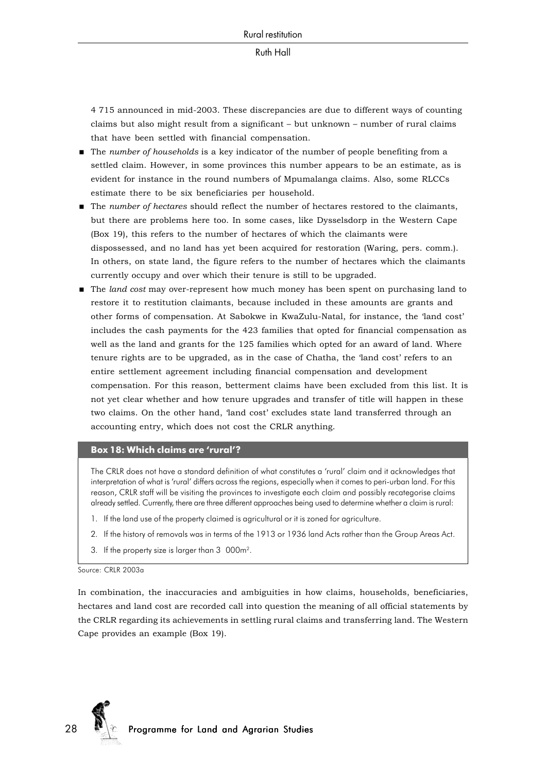4 715 announced in mid-2003. These discrepancies are due to different ways of counting claims but also might result from a significant – but unknown – number of rural claims that have been settled with financial compensation.

- The *number of households* is a key indicator of the number of people benefiting from a settled claim. However, in some provinces this number appears to be an estimate, as is evident for instance in the round numbers of Mpumalanga claims. Also, some RLCCs estimate there to be six beneficiaries per household.
- The *number of hectares* should reflect the number of hectares restored to the claimants, but there are problems here too. In some cases, like Dysselsdorp in the Western Cape (Box 19), this refers to the number of hectares of which the claimants were dispossessed, and no land has yet been acquired for restoration (Waring, pers. comm.). In others, on state land, the figure refers to the number of hectares which the claimants currently occupy and over which their tenure is still to be upgraded.
- The *land cost* may over-represent how much money has been spent on purchasing land to restore it to restitution claimants, because included in these amounts are grants and other forms of compensation. At Sabokwe in KwaZulu-Natal, for instance, the 'land cost' includes the cash payments for the 423 families that opted for financial compensation as well as the land and grants for the 125 families which opted for an award of land. Where tenure rights are to be upgraded, as in the case of Chatha, the 'land cost' refers to an entire settlement agreement including financial compensation and development compensation. For this reason, betterment claims have been excluded from this list. It is not yet clear whether and how tenure upgrades and transfer of title will happen in these two claims. On the other hand, 'land cost' excludes state land transferred through an accounting entry, which does not cost the CRLR anything.

#### **Box 18: Which claims are 'rural'?**

The CRLR does not have a standard definition of what constitutes a 'rural' claim and it acknowledges that interpretation of what is 'rural' differs across the regions, especially when it comes to peri-urban land. For this reason, CRLR staff will be visiting the provinces to investigate each claim and possibly recategorise claims already settled. Currently, there are three different approaches being used to determine whether a claim is rural:

- 1. If the land use of the property claimed is agricultural or it is zoned for agriculture.
- 2. If the history of removals was in terms of the 1913 or 1936 land Acts rather than the Group Areas Act.
- 3. If the property size is larger than 3 000m2.

#### Source: CRLR 2003a

In combination, the inaccuracies and ambiguities in how claims, households, beneficiaries, hectares and land cost are recorded call into question the meaning of all official statements by the CRLR regarding its achievements in settling rural claims and transferring land. The Western Cape provides an example (Box 19).

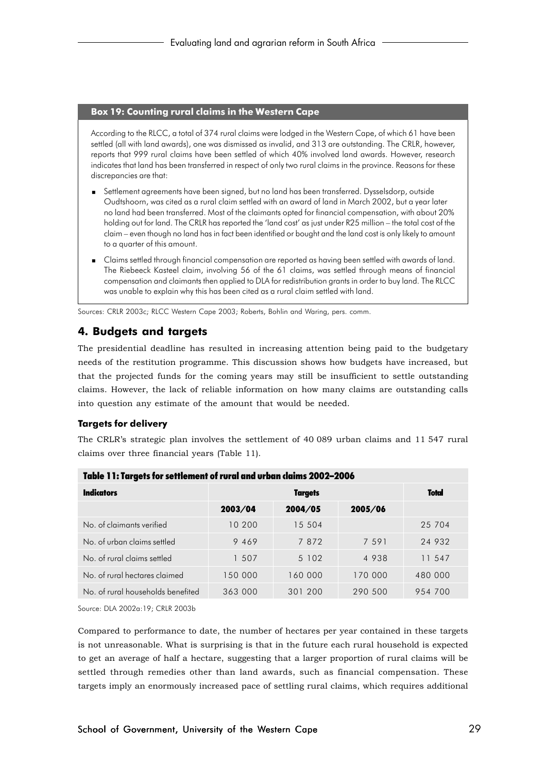## **Box 19: Counting rural claims in the Western Cape**

According to the RLCC, a total of 374 rural claims were lodged in the Western Cape, of which 61 have been settled (all with land awards), one was dismissed as invalid, and 313 are outstanding. The CRLR, however, reports that 999 rural claims have been settled of which 40% involved land awards. However, research indicates that land has been transferred in respect of only two rural claims in the province. Reasons for these discrepancies are that:

- Settlement agreements have been signed, but no land has been transferred. Dysselsdorp, outside Oudtshoorn, was cited as a rural claim settled with an award of land in March 2002, but a year later no land had been transferred. Most of the claimants opted for financial compensation, with about 20% holding out for land. The CRLR has reported the 'land cost' as just under R25 million – the total cost of the claim – even though no land has in fact been identified or bought and the land cost is only likely to amount to a quarter of this amount.
- Claims settled through financial compensation are reported as having been settled with awards of land. The Riebeeck Kasteel claim, involving 56 of the 61 claims, was settled through means of financial compensation and claimants then applied to DLA for redistribution grants in order to buy land. The RLCC was unable to explain why this has been cited as a rural claim settled with land.

Sources: CRLR 2003c; RLCC Western Cape 2003; Roberts, Bohlin and Waring, pers. comm.

## **4. Budgets and targets**

The presidential deadline has resulted in increasing attention being paid to the budgetary needs of the restitution programme. This discussion shows how budgets have increased, but that the projected funds for the coming years may still be insufficient to settle outstanding claims. However, the lack of reliable information on how many claims are outstanding calls into question any estimate of the amount that would be needed.

## **Targets for delivery**

The CRLR's strategic plan involves the settlement of 40 089 urban claims and 11 547 rural claims over three financial years (Table 11).

|                                   | Table 11: Targets for settlement ot rural and urban claims 2002–2006 |              |         |         |  |  |  |
|-----------------------------------|----------------------------------------------------------------------|--------------|---------|---------|--|--|--|
| <b>Indicators</b>                 |                                                                      | <b>Total</b> |         |         |  |  |  |
|                                   | 2003/04                                                              | 2004/05      | 2005/06 |         |  |  |  |
| No of claimants verified          | 10 200                                                               | 15 504       |         | 25 704  |  |  |  |
| No of urban claims settled        | 9 4 6 9                                                              | 7872         | 7 5 9 1 | 24 932  |  |  |  |
| No. of rural claims settled       | 1 507                                                                | 5 1 0 2      | 4 9 3 8 | 11 547  |  |  |  |
| No. of rural hectares claimed     | 150 000                                                              | 160 000      | 170 000 | 480 000 |  |  |  |
| No. of rural households benefited | 363 000                                                              | 301 200      | 290 500 | 954 700 |  |  |  |

| Table 11: Targets for settlement of rural and urban claims 2002–2006 |
|----------------------------------------------------------------------|

Source: DLA 2002a:19; CRLR 2003b

Compared to performance to date, the number of hectares per year contained in these targets is not unreasonable. What is surprising is that in the future each rural household is expected to get an average of half a hectare, suggesting that a larger proportion of rural claims will be settled through remedies other than land awards, such as financial compensation. These targets imply an enormously increased pace of settling rural claims, which requires additional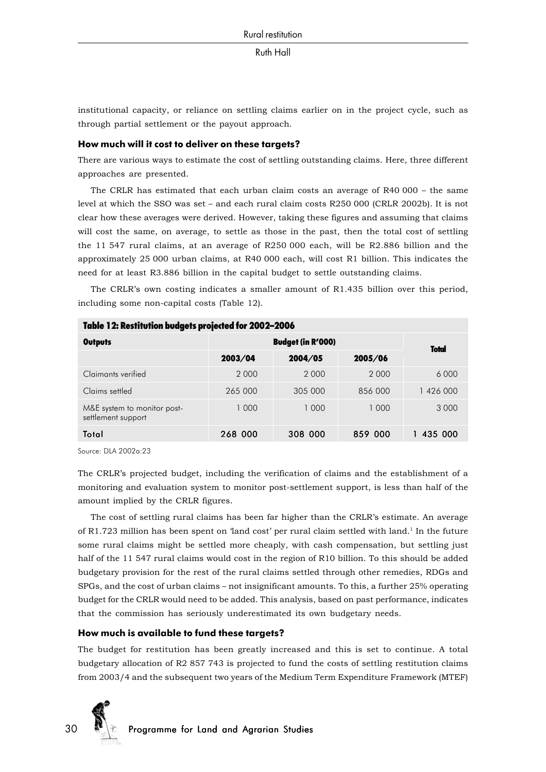institutional capacity, or reliance on settling claims earlier on in the project cycle, such as through partial settlement or the payout approach.

#### **How much will it cost to deliver on these targets?**

There are various ways to estimate the cost of settling outstanding claims. Here, three different approaches are presented.

The CRLR has estimated that each urban claim costs an average of R40 000 – the same level at which the SSO was set – and each rural claim costs R250 000 (CRLR 2002b). It is not clear how these averages were derived. However, taking these figures and assuming that claims will cost the same, on average, to settle as those in the past, then the total cost of settling the 11 547 rural claims, at an average of R250 000 each, will be R2.886 billion and the approximately 25 000 urban claims, at R40 000 each, will cost R1 billion. This indicates the need for at least R3.886 billion in the capital budget to settle outstanding claims.

The CRLR's own costing indicates a smaller amount of R1.435 billion over this period, including some non-capital costs (Table 12).

|                                                   | Table TZ: Kestitution budgets projected for ZUUZ-ZUUO |                          |         |              |  |  |  |
|---------------------------------------------------|-------------------------------------------------------|--------------------------|---------|--------------|--|--|--|
| <b>Outputs</b>                                    |                                                       | <b>Budget (in R'000)</b> |         |              |  |  |  |
|                                                   | 2003/04                                               | 2004/05                  | 2005/06 | <b>Total</b> |  |  |  |
| Claimants verified                                | 2 0 0 0                                               | 2000                     | 2 0 0 0 | 6 0 0 0      |  |  |  |
| Claims settled                                    | 265 000                                               | 305 000                  | 856 000 | 1 426 000    |  |  |  |
| M&E system to monitor post-<br>settlement support | 1 000                                                 | 1 000                    | 1 000   | 3 0 0 0      |  |  |  |
| Total                                             | 268 000                                               | 308 000                  | 859 000 | 435 000      |  |  |  |

Table 12: Restitution budgets projected for 2002–2006

Source: DLA 2002a:23

The CRLR's projected budget, including the verification of claims and the establishment of a monitoring and evaluation system to monitor post-settlement support, is less than half of the amount implied by the CRLR figures.

The cost of settling rural claims has been far higher than the CRLR's estimate. An average of R1.723 million has been spent on 'land cost' per rural claim settled with land.1 In the future some rural claims might be settled more cheaply, with cash compensation, but settling just half of the 11 547 rural claims would cost in the region of R10 billion. To this should be added budgetary provision for the rest of the rural claims settled through other remedies, RDGs and SPGs, and the cost of urban claims – not insignificant amounts. To this, a further 25% operating budget for the CRLR would need to be added. This analysis, based on past performance, indicates that the commission has seriously underestimated its own budgetary needs.

#### **How much is available to fund these targets?**

The budget for restitution has been greatly increased and this is set to continue. A total budgetary allocation of R2 857 743 is projected to fund the costs of settling restitution claims from 2003/4 and the subsequent two years of the Medium Term Expenditure Framework (MTEF)

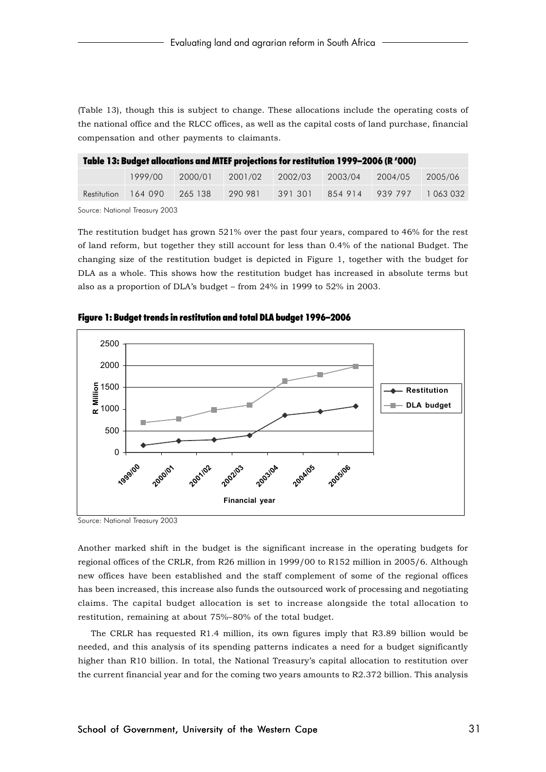(Table 13), though this is subject to change. These allocations include the operating costs of the national office and the RLCC offices, as well as the capital costs of land purchase, financial compensation and other payments to claimants.

| Table 13: Budget allocations and MTEF projections for restitution 1999–2006 (R '000) |         |         |         |         |         |           |
|--------------------------------------------------------------------------------------|---------|---------|---------|---------|---------|-----------|
| 1999/00                                                                              | 2000/01 | 2001/02 | 2002/03 | 2003/04 | 2004/05 | 2005/06   |
| Restitution 164 090                                                                  | 265 138 | 290 981 | 391301  | 854914  | 939797  | 1 063 032 |
| $C_{\text{source}}$ N $\text{H}_{\text{total}}$ T <sub>rement</sub> 0000             |         |         |         |         |         |           |

Source: National Treasury 2003

The restitution budget has grown 521% over the past four years, compared to 46% for the rest of land reform, but together they still account for less than 0.4% of the national Budget. The changing size of the restitution budget is depicted in Figure 1, together with the budget for DLA as a whole. This shows how the restitution budget has increased in absolute terms but also as a proportion of DLA's budget – from 24% in 1999 to 52% in 2003.



Figure 1: Budget trends in restitution and total DLA budget 1996–2006

Source: National Treasury 2003

Another marked shift in the budget is the significant increase in the operating budgets for regional offices of the CRLR, from R26 million in 1999/00 to R152 million in 2005/6. Although new offices have been established and the staff complement of some of the regional offices has been increased, this increase also funds the outsourced work of processing and negotiating claims. The capital budget allocation is set to increase alongside the total allocation to restitution, remaining at about 75%–80% of the total budget.

The CRLR has requested R1.4 million, its own figures imply that R3.89 billion would be needed, and this analysis of its spending patterns indicates a need for a budget significantly higher than R10 billion. In total, the National Treasury's capital allocation to restitution over the current financial year and for the coming two years amounts to R2.372 billion. This analysis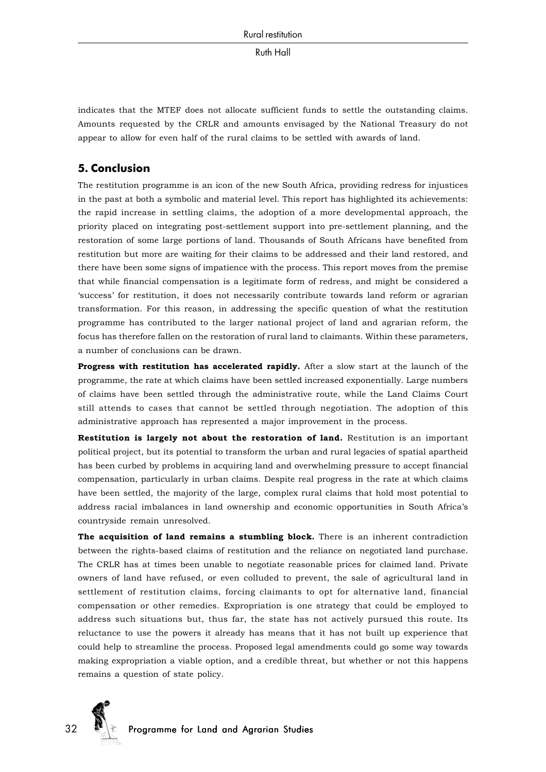indicates that the MTEF does not allocate sufficient funds to settle the outstanding claims. Amounts requested by the CRLR and amounts envisaged by the National Treasury do not appear to allow for even half of the rural claims to be settled with awards of land.

## **5. Conclusion**

The restitution programme is an icon of the new South Africa, providing redress for injustices in the past at both a symbolic and material level. This report has highlighted its achievements: the rapid increase in settling claims, the adoption of a more developmental approach, the priority placed on integrating post-settlement support into pre-settlement planning, and the restoration of some large portions of land. Thousands of South Africans have benefited from restitution but more are waiting for their claims to be addressed and their land restored, and there have been some signs of impatience with the process. This report moves from the premise that while financial compensation is a legitimate form of redress, and might be considered a 'success' for restitution, it does not necessarily contribute towards land reform or agrarian transformation. For this reason, in addressing the specific question of what the restitution programme has contributed to the larger national project of land and agrarian reform, the focus has therefore fallen on the restoration of rural land to claimants. Within these parameters, a number of conclusions can be drawn.

**Progress with restitution has accelerated rapidly.** After a slow start at the launch of the programme, the rate at which claims have been settled increased exponentially. Large numbers of claims have been settled through the administrative route, while the Land Claims Court still attends to cases that cannot be settled through negotiation. The adoption of this administrative approach has represented a major improvement in the process.

**Restitution is largely not about the restoration of land.** Restitution is an important political project, but its potential to transform the urban and rural legacies of spatial apartheid has been curbed by problems in acquiring land and overwhelming pressure to accept financial compensation, particularly in urban claims. Despite real progress in the rate at which claims have been settled, the majority of the large, complex rural claims that hold most potential to address racial imbalances in land ownership and economic opportunities in South Africa's countryside remain unresolved.

**The acquisition of land remains a stumbling block.** There is an inherent contradiction between the rights-based claims of restitution and the reliance on negotiated land purchase. The CRLR has at times been unable to negotiate reasonable prices for claimed land. Private owners of land have refused, or even colluded to prevent, the sale of agricultural land in settlement of restitution claims, forcing claimants to opt for alternative land, financial compensation or other remedies. Expropriation is one strategy that could be employed to address such situations but, thus far, the state has not actively pursued this route. Its reluctance to use the powers it already has means that it has not built up experience that could help to streamline the process. Proposed legal amendments could go some way towards making expropriation a viable option, and a credible threat, but whether or not this happens remains a question of state policy.

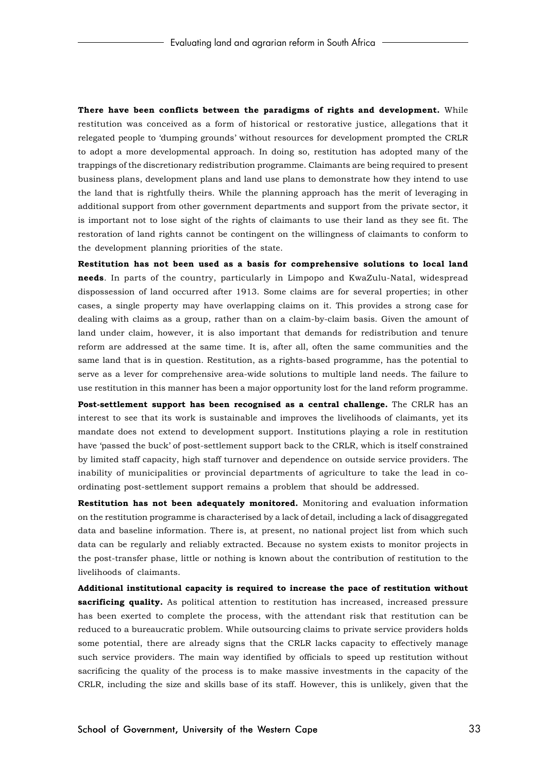**There have been conflicts between the paradigms of rights and development.** While restitution was conceived as a form of historical or restorative justice, allegations that it relegated people to 'dumping grounds' without resources for development prompted the CRLR to adopt a more developmental approach. In doing so, restitution has adopted many of the trappings of the discretionary redistribution programme. Claimants are being required to present business plans, development plans and land use plans to demonstrate how they intend to use the land that is rightfully theirs. While the planning approach has the merit of leveraging in additional support from other government departments and support from the private sector, it is important not to lose sight of the rights of claimants to use their land as they see fit. The restoration of land rights cannot be contingent on the willingness of claimants to conform to the development planning priorities of the state.

**Restitution has not been used as a basis for comprehensive solutions to local land needs**. In parts of the country, particularly in Limpopo and KwaZulu-Natal, widespread dispossession of land occurred after 1913. Some claims are for several properties; in other cases, a single property may have overlapping claims on it. This provides a strong case for dealing with claims as a group, rather than on a claim-by-claim basis. Given the amount of land under claim, however, it is also important that demands for redistribution and tenure reform are addressed at the same time. It is, after all, often the same communities and the same land that is in question. Restitution, as a rights-based programme, has the potential to serve as a lever for comprehensive area-wide solutions to multiple land needs. The failure to use restitution in this manner has been a major opportunity lost for the land reform programme.

**Post-settlement support has been recognised as a central challenge.** The CRLR has an interest to see that its work is sustainable and improves the livelihoods of claimants, yet its mandate does not extend to development support. Institutions playing a role in restitution have 'passed the buck' of post-settlement support back to the CRLR, which is itself constrained by limited staff capacity, high staff turnover and dependence on outside service providers. The inability of municipalities or provincial departments of agriculture to take the lead in coordinating post-settlement support remains a problem that should be addressed.

**Restitution has not been adequately monitored.** Monitoring and evaluation information on the restitution programme is characterised by a lack of detail, including a lack of disaggregated data and baseline information. There is, at present, no national project list from which such data can be regularly and reliably extracted. Because no system exists to monitor projects in the post-transfer phase, little or nothing is known about the contribution of restitution to the livelihoods of claimants.

**Additional institutional capacity is required to increase the pace of restitution without sacrificing quality.** As political attention to restitution has increased, increased pressure has been exerted to complete the process, with the attendant risk that restitution can be reduced to a bureaucratic problem. While outsourcing claims to private service providers holds some potential, there are already signs that the CRLR lacks capacity to effectively manage such service providers. The main way identified by officials to speed up restitution without sacrificing the quality of the process is to make massive investments in the capacity of the CRLR, including the size and skills base of its staff. However, this is unlikely, given that the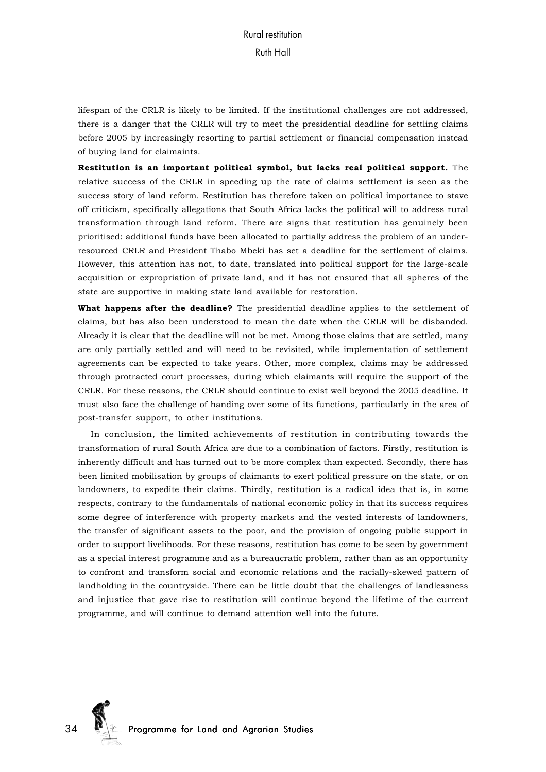lifespan of the CRLR is likely to be limited. If the institutional challenges are not addressed, there is a danger that the CRLR will try to meet the presidential deadline for settling claims before 2005 by increasingly resorting to partial settlement or financial compensation instead of buying land for claimaints.

**Restitution is an important political symbol, but lacks real political support.** The relative success of the CRLR in speeding up the rate of claims settlement is seen as the success story of land reform. Restitution has therefore taken on political importance to stave off criticism, specifically allegations that South Africa lacks the political will to address rural transformation through land reform. There are signs that restitution has genuinely been prioritised: additional funds have been allocated to partially address the problem of an underresourced CRLR and President Thabo Mbeki has set a deadline for the settlement of claims. However, this attention has not, to date, translated into political support for the large-scale acquisition or expropriation of private land, and it has not ensured that all spheres of the state are supportive in making state land available for restoration.

**What happens after the deadline?** The presidential deadline applies to the settlement of claims, but has also been understood to mean the date when the CRLR will be disbanded. Already it is clear that the deadline will not be met. Among those claims that are settled, many are only partially settled and will need to be revisited, while implementation of settlement agreements can be expected to take years. Other, more complex, claims may be addressed through protracted court processes, during which claimants will require the support of the CRLR. For these reasons, the CRLR should continue to exist well beyond the 2005 deadline. It must also face the challenge of handing over some of its functions, particularly in the area of post-transfer support, to other institutions.

In conclusion, the limited achievements of restitution in contributing towards the transformation of rural South Africa are due to a combination of factors. Firstly, restitution is inherently difficult and has turned out to be more complex than expected. Secondly, there has been limited mobilisation by groups of claimants to exert political pressure on the state, or on landowners, to expedite their claims. Thirdly, restitution is a radical idea that is, in some respects, contrary to the fundamentals of national economic policy in that its success requires some degree of interference with property markets and the vested interests of landowners, the transfer of significant assets to the poor, and the provision of ongoing public support in order to support livelihoods. For these reasons, restitution has come to be seen by government as a special interest programme and as a bureaucratic problem, rather than as an opportunity to confront and transform social and economic relations and the racially-skewed pattern of landholding in the countryside. There can be little doubt that the challenges of landlessness and injustice that gave rise to restitution will continue beyond the lifetime of the current programme, and will continue to demand attention well into the future.

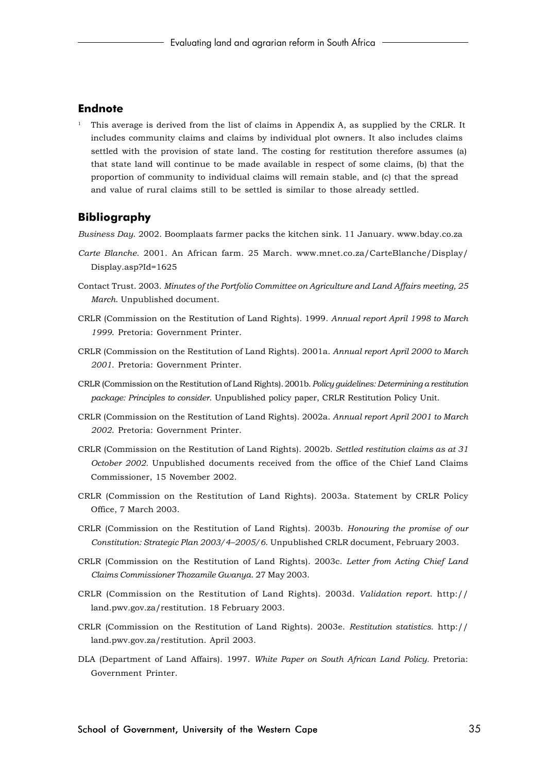## **Endnote**

<sup>1</sup> This average is derived from the list of claims in Appendix A, as supplied by the CRLR. It includes community claims and claims by individual plot owners. It also includes claims settled with the provision of state land. The costing for restitution therefore assumes (a) that state land will continue to be made available in respect of some claims, (b) that the proportion of community to individual claims will remain stable, and (c) that the spread and value of rural claims still to be settled is similar to those already settled.

## **Bibliography**

*Business Day*. 2002. Boomplaats farmer packs the kitchen sink. 11 January. www.bday.co.za

- *Carte Blanche*. 2001. An African farm. 25 March. www.mnet.co.za/CarteBlanche/Display/ Display.asp?Id=1625
- Contact Trust. 2003. *Minutes of the Portfolio Committee on Agriculture and Land Affairs meeting, 25 March*. Unpublished document.
- CRLR (Commission on the Restitution of Land Rights). 1999. *Annual report April 1998 to March 1999*. Pretoria: Government Printer.
- CRLR (Commission on the Restitution of Land Rights). 2001a. *Annual report April 2000 to March 2001*. Pretoria: Government Printer.
- CRLR (Commission on the Restitution of Land Rights). 2001b. *Policy guidelines: Determining a restitution package: Principles to consider*. Unpublished policy paper, CRLR Restitution Policy Unit.
- CRLR (Commission on the Restitution of Land Rights). 2002a. *Annual report April 2001 to March 2002*. Pretoria: Government Printer.
- CRLR (Commission on the Restitution of Land Rights). 2002b. *Settled restitution claims as at 31 October 2002.* Unpublished documents received from the office of the Chief Land Claims Commissioner, 15 November 2002.
- CRLR (Commission on the Restitution of Land Rights). 2003a. Statement by CRLR Policy Office, 7 March 2003.
- CRLR (Commission on the Restitution of Land Rights). 2003b. *Honouring the promise of our Constitution: Strategic Plan 2003/4–2005/6*. Unpublished CRLR document, February 2003.
- CRLR (Commission on the Restitution of Land Rights). 2003c. *Letter from Acting Chief Land Claims Commissioner Thozamile Gwanya*. 27 May 2003.
- CRLR (Commission on the Restitution of Land Rights). 2003d. *Validation report*. http:// land.pwv.gov.za/restitution. 18 February 2003.
- CRLR (Commission on the Restitution of Land Rights). 2003e. *Restitution statistics*. http:// land.pwv.gov.za/restitution. April 2003.
- DLA (Department of Land Affairs). 1997. *White Paper on South African Land Policy.* Pretoria: Government Printer.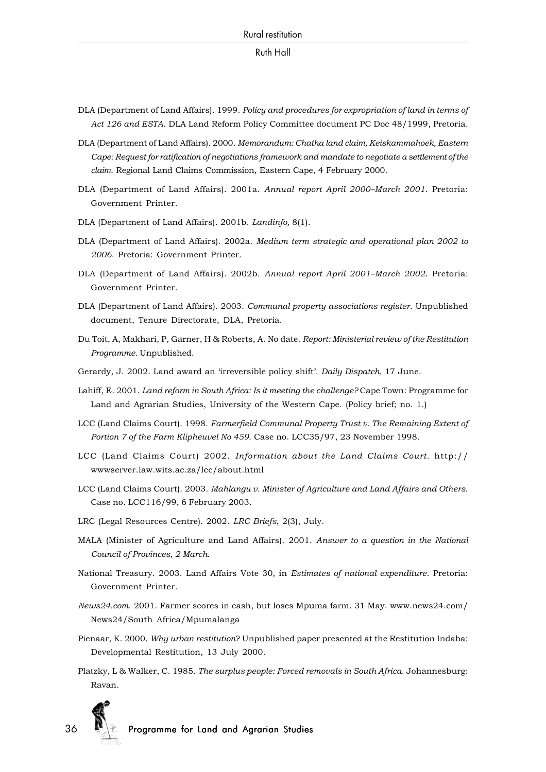- DLA (Department of Land Affairs). 1999. *Policy and procedures for expropriation of land in terms of Act 126 and ESTA*. DLA Land Reform Policy Committee document PC Doc 48/1999, Pretoria.
- DLA (Department of Land Affairs). 2000. *Memorandum: Chatha land claim, Keiskammahoek, Eastern Cape: Request for ratification of negotiations framework and mandate to negotiate a settlement of the claim*. Regional Land Claims Commission, Eastern Cape, 4 February 2000.
- DLA (Department of Land Affairs). 2001a. *Annual report April 2000–March 2001*. Pretoria: Government Printer.
- DLA (Department of Land Affairs). 2001b. *Landinfo,* 8(1).
- DLA (Department of Land Affairs). 2002a. *Medium term strategic and operational plan 2002 to 2006*. Pretoria: Government Printer.
- DLA (Department of Land Affairs). 2002b. *Annual report April 2001–March 2002*. Pretoria: Government Printer.
- DLA (Department of Land Affairs). 2003. *Communal property associations register*. Unpublished document, Tenure Directorate, DLA, Pretoria.
- Du Toit, A, Makhari, P, Garner, H & Roberts, A. No date. *Report: Ministerial review of the Restitution Programme*. Unpublished.
- Gerardy, J. 2002. Land award an 'irreversible policy shift'. *Daily Dispatch,* 17 June.
- Lahiff, E. 2001. *Land reform in South Africa: Is it meeting the challenge?* Cape Town: Programme for Land and Agrarian Studies, University of the Western Cape. (Policy brief; no. 1.)
- LCC (Land Claims Court). 1998. *Farmerfield Communal Property Trust v. The Remaining Extent of Portion 7 of the Farm Klipheuvel No 459*. Case no. LCC35/97, 23 November 1998.
- LCC (Land Claims Court) 2002. *Information about the Land Claims Court.* http:// wwwserver.law.wits.ac.za/lcc/about.html
- LCC (Land Claims Court). 2003. *Mahlangu v. Minister of Agriculture and Land Affairs and Others*. Case no. LCC116/99, 6 February 2003.
- LRC (Legal Resources Centre). 2002. *LRC Briefs*, 2(3), July.
- MALA (Minister of Agriculture and Land Affairs). 2001. *Answer to a question in the National Council of Provinces, 2 March*.
- National Treasury. 2003. Land Affairs Vote 30*,* in *Estimates of national expenditure*. Pretoria: Government Printer.
- *News24.com*. 2001. Farmer scores in cash, but loses Mpuma farm. 31 May. www.news24.com/ News24/South\_Africa/Mpumalanga
- Pienaar, K. 2000. *Why urban restitution*? Unpublished paper presented at the Restitution Indaba: Developmental Restitution, 13 July 2000.
- Platzky, L & Walker, C. 1985. *The surplus people: Forced removals in South Africa*. Johannesburg: Ravan.

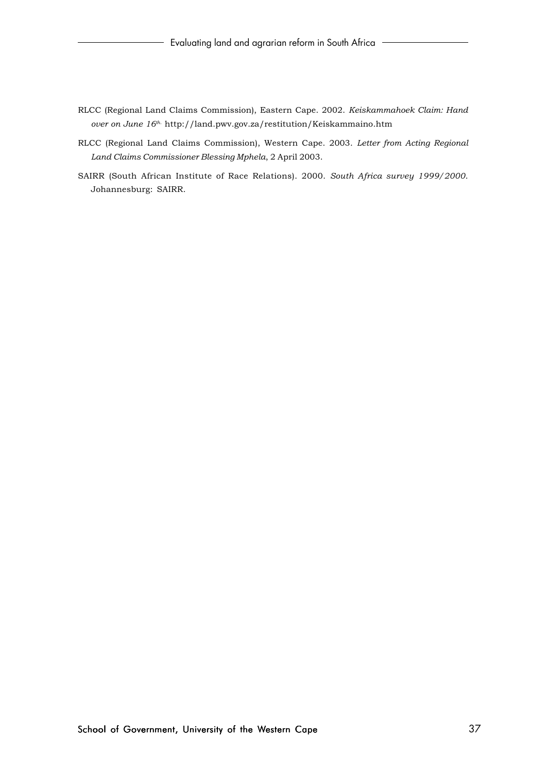- RLCC (Regional Land Claims Commission), Eastern Cape. 2002. *Keiskammahoek Claim: Hand over on June 16th*. http://land.pwv.gov.za/restitution/Keiskammaino.htm
- RLCC (Regional Land Claims Commission), Western Cape. 2003. *Letter from Acting Regional Land Claims Commissioner Blessing Mphela*, 2 April 2003.
- SAIRR (South African Institute of Race Relations). 2000. *South Africa survey 1999/2000*. Johannesburg: SAIRR.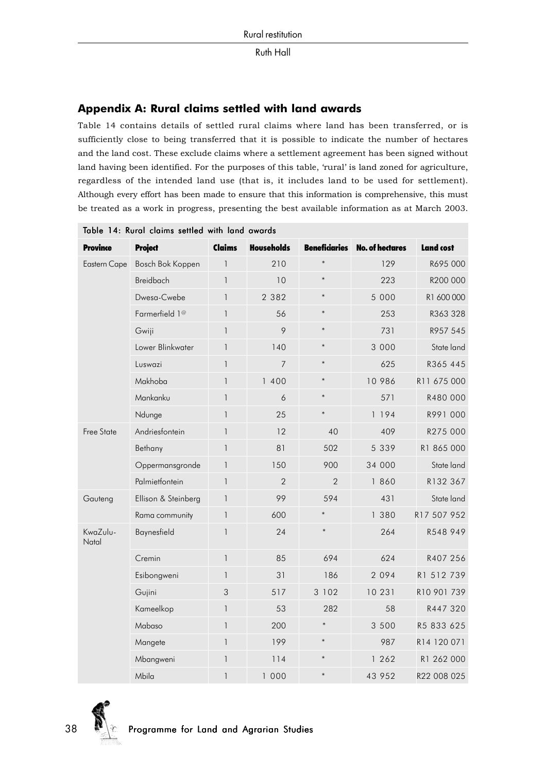## **Appendix A: Rural claims settled with land awards**

Table 14 contains details of settled rural claims where land has been transferred, or is sufficiently close to being transferred that it is possible to indicate the number of hectares and the land cost. These exclude claims where a settlement agreement has been signed without land having been identified. For the purposes of this table, 'rural' is land zoned for agriculture, regardless of the intended land use (that is, it includes land to be used for settlement). Although every effort has been made to ensure that this information is comprehensive, this must be treated as a work in progress, presenting the best available information as at March 2003.

| <b>Province</b>   | <b>Project</b>             | Claims       | <b>Households</b> |                | <b>Beneficiaries</b> No. of hectares | <b>Land cost</b> |
|-------------------|----------------------------|--------------|-------------------|----------------|--------------------------------------|------------------|
| Eastern Cape      | Bosch Bok Koppen           | $\mathbf{1}$ | 210               | $\ast$         | 129                                  | R695 000         |
|                   | Breidbach                  | $\mathbf{1}$ | 10                | $\ast$         | 223                                  | R200 000         |
|                   | Dwesa-Cwebe                | $\mathbf{1}$ | 2 3 8 2           | $\ast$         | 5 0 0 0                              | R1 600 000       |
|                   | Farmerfield 1 <sup>@</sup> | $\mathbf{1}$ | 56                | $\ast$         | 253                                  | R363 328         |
|                   | Gwiji                      | 1            | 9                 | $\ast$         | 731                                  | R957 545         |
|                   | Lower Blinkwater           | 1            | 140               | $\ast$         | 3 0 0 0                              | State land       |
|                   | Luswazi                    | $\mathbf{I}$ | $\overline{7}$    | $\ast$         | 625                                  | R365 445         |
|                   | Makhoba                    | $\mathbf{1}$ | 1 400             | $\ast$         | 10 986                               | R11 675 000      |
|                   | Mankanku                   | $\mathbf{1}$ | 6                 | $\ast$         | 571                                  | R480 000         |
|                   | Ndunge                     | $\mathbf{1}$ | 25                | $\ast$         | 1194                                 | R991 000         |
| <b>Free State</b> | Andriesfontein             | 1            | 12                | 40             | 409                                  | R275 000         |
|                   | Bethany                    | $\mathbf{I}$ | 81                | 502            | 5 3 3 9                              | R1 865 000       |
|                   | Oppermansgronde            | $\mathbf{1}$ | 150               | 900            | 34 000                               | State land       |
|                   | Palmietfontein             | $\mathbf{1}$ | $\overline{2}$    | $\overline{2}$ | 1 860                                | R132 367         |
| Gauteng           | Ellison & Steinberg        | $\mathbf{1}$ | 99                | 594            | 431                                  | State land       |
|                   | Rama community             | $\mathbf{I}$ | 600               | $\ast$         | 1 380                                | R17 507 952      |
| KwaZulu-<br>Natal | Baynesfield                | $\mathbf{I}$ | 24                | $\ast$         | 264                                  | R548 949         |
|                   | Cremin                     | $\mathbf{I}$ | 85                | 694            | 624                                  | R407 256         |
|                   | Esibongweni                | $\mathbf{1}$ | 31                | 186            | 2 0 9 4                              | R1 512 739       |
|                   | Gujini                     | 3            | 517               | 3 102          | 10 231                               | R10 901 739      |
|                   | Kameelkop                  | $\mathbf{1}$ | 53                | 282            | 58                                   | R447 320         |
|                   | Mabaso                     | $\mathbf{I}$ | 200               | $\ast$         | 3 500                                | R5 833 625       |
|                   | Mangete                    | $\mathbf{1}$ | 199               | $\ast$         | 987                                  | R14 120 071      |
|                   | Mbangweni                  | $\mathbf{1}$ | 114               | $\ast$         | 1 262                                | R1 262 000       |
|                   | Mbila                      | 1            | 1 000             | $\ast$         | 43 952                               | R22 008 025      |

|  |  |  | Table 14: Rural claims settled with land awards |
|--|--|--|-------------------------------------------------|
|  |  |  |                                                 |

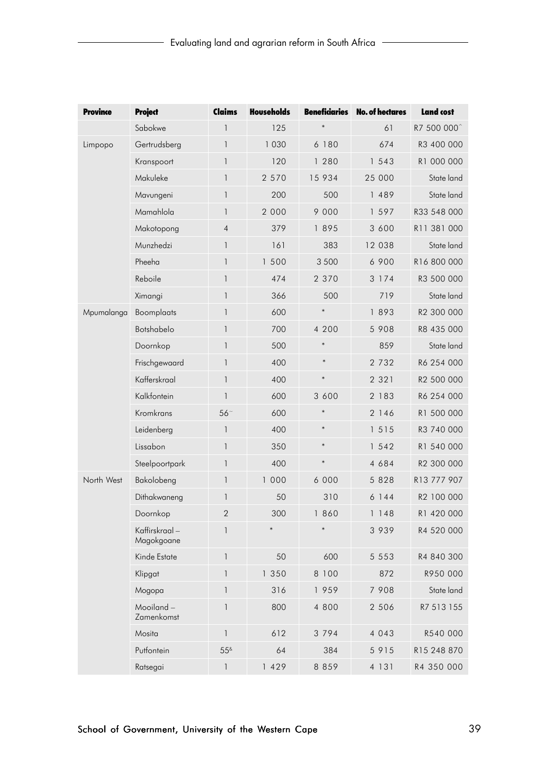| <b>Province</b> | <b>Project</b>              | Claims          | <b>Households</b> |         | <b>Beneficiaries</b> No. of hectares | <b>Land cost</b>        |
|-----------------|-----------------------------|-----------------|-------------------|---------|--------------------------------------|-------------------------|
|                 | Sabokwe                     | 1               | 125               | $\ast$  | 61                                   | R7 500 000 <sup>^</sup> |
| Limpopo         | Gertrudsberg                | 1               | 1030              | 6 180   | 674                                  | R3 400 000              |
|                 | Kranspoort                  | 1               | 120               | 1 280   | 1 543                                | R1 000 000              |
|                 | Makuleke                    | 1               | 2 570             | 15 934  | 25 000                               | State land              |
|                 | Mavungeni                   | 1               | 200               | 500     | 1 489                                | State land              |
|                 | Mamahlola                   | 1               | 2 000             | 9 0 0 0 | 1 5 9 7                              | R33 548 000             |
|                 | Makotopong                  | $\overline{4}$  | 379               | 1895    | 3 600                                | R11 381 000             |
|                 | Munzhedzi                   | 1               | 161               | 383     | 12 038                               | State land              |
|                 | Pheeha                      | 1               | 1 500             | 3 500   | 6 900                                | R16 800 000             |
|                 | Reboile                     | 1               | 474               | 2 370   | 3 1 7 4                              | R3 500 000              |
|                 | Ximangi                     | 1               | 366               | 500     | 719                                  | State land              |
| Mpumalanga      | Boomplaats                  | 1               | 600               | $\ast$  | 1893                                 | R2 300 000              |
|                 | Botshabelo                  | 1               | 700               | 4 200   | 5 9 0 8                              | R8 435 000              |
|                 | Doornkop                    | 1               | 500               | $\ast$  | 859                                  | State land              |
|                 | Frischgewaard               | 1               | 400               | $\ast$  | 2 7 3 2                              | R6 254 000              |
|                 | Kafferskraal                | 1               | 400               | $\ast$  | 2 3 2 1                              | R2 500 000              |
|                 | Kalkfontein                 | 1               | 600               | 3 600   | 2 183                                | R6 254 000              |
|                 | Kromkrans                   | 56 <sup>~</sup> | 600               | $\ast$  | 2 1 4 6                              | R1 500 000              |
|                 | Leidenberg                  | 1               | 400               | $\ast$  | 1 5 1 5                              | R3 740 000              |
|                 | Lissabon                    | 1               | 350               | $\ast$  | 1 542                                | R1 540 000              |
|                 | Steelpoortpark              | 1               | 400               | $\ast$  | 4 684                                | R2 300 000              |
| North West      | Bakolobeng                  | $\mathbf{1}$    | 1 000             | 6 000   | 5 8 2 8                              | R13 777 907             |
|                 | Dithakwaneng                | 1               | 50                | 310     | 6144                                 | R2 100 000              |
|                 | Doornkop                    | 2               | 300               | 1 860   | 1 148                                | R1 420 000              |
|                 | Kaffirskraal-<br>Magokgoane | 1               | $\ast$            | $\ast$  | 3 9 3 9                              | R4 520 000              |
|                 | Kinde Estate                | 1               | 50                | 600     | 5 5 5 3                              | R4 840 300              |
|                 | Klipgat                     | 1               | 1 350             | 8 100   | 872                                  | R950 000                |
|                 | Mogopa                      | 1               | 316               | 1959    | 7 908                                | State land              |
|                 | Mooiland-<br>Zamenkomst     | $\mathbf{1}$    | 800               | 4 800   | 2 5 0 6                              | R7 513 155              |
|                 | Mosita                      | 1               | 612               | 3 7 9 4 | 4 0 4 3                              | R540 000                |
|                 | Putfontein                  | $55^{\text{8}}$ | 64                | 384     | 5 9 1 5                              | R15 248 870             |
|                 | Ratsegai                    | 1               | 1 429             | 8 8 5 9 | 4 131                                | R4 350 000              |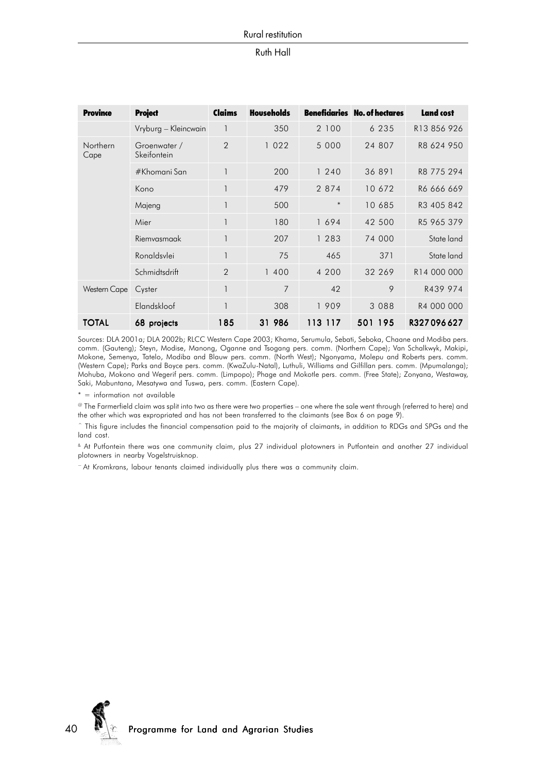#### Rural restitution

#### Ruth Hall

| <b>Province</b>  | <b>Project</b>              | Claims         | <b>Households</b> |         | <b>Beneficiaries</b> No. of hectares | <b>Land cost</b> |
|------------------|-----------------------------|----------------|-------------------|---------|--------------------------------------|------------------|
|                  | Vryburg - Kleincwain        | $\mathbf{1}$   | 350               | 2 100   | 6 2 3 5                              | R13 856 926      |
| Northern<br>Cape | Groenwater /<br>Skeifontein | $\overline{2}$ | 1022              | 5 0 0 0 | 24 807                               | R8 624 950       |
|                  | #Khomani San                | 1              | 200               | 1240    | 36 891                               | R8 775 294       |
|                  | Kono                        | 1              | 479               | 2 8 7 4 | 10 672                               | R6 666 669       |
|                  | Majeng                      |                | 500               | $\ast$  | 10 685                               | R3 405 842       |
|                  | Mier                        | 1              | 180               | 1694    | 42 500                               | R5 965 379       |
|                  | Riemvasmaak                 | $\mathbf{1}$   | 207               | 1 283   | 74 000                               | State land       |
|                  | Ronaldsvlei                 | 1              | 75                | 465     | 371                                  | State land       |
|                  | Schmidtsdrift               | $\overline{2}$ | 1 400             | 4 200   | 32 269                               | R14 000 000      |
| Western Cape     | Cyster                      | 1              | $\overline{7}$    | 42      | 9                                    | R439 974         |
|                  | Elandskloof                 | 1              | 308               | 1909    | 3 0 8 8                              | R4 000 000       |
| <b>TOTAL</b>     | 68 projects                 | 185            | 31 986            | 113 117 | 501 195                              | R327096627       |

Sources: DLA 2001a; DLA 2002b; RLCC Western Cape 2003; Khama, Serumula, Sebati, Seboka, Chaane and Modiba pers. comm. (Gauteng); Steyn, Modise, Manong, Oganne and Tsogang pers. comm. (Northern Cape); Van Schalkwyk, Makipi, Mokone, Semenya, Tatelo, Modiba and Blauw pers. comm. (North West); Ngonyama, Molepu and Roberts pers. comm. (Western Cape); Parks and Boyce pers. comm. (KwaZulu-Natal), Luthuli, Williams and Gilfillan pers. comm. (Mpumalanga); Mohuba, Mokono and Wegerif pers. comm. (Limpopo); Phage and Mokotle pers. comm. (Free State); Zonyana, Westaway, Saki, Mabuntana, Mesatywa and Tuswa, pers. comm. (Eastern Cape).

\* = information not available

@ The Farmerfield claim was split into two as there were two properties – one where the sale went through (referred to here) and the other which was expropriated and has not been transferred to the claimants (see Box 6 on page 9).

 $\hat{ }$  This figure includes the financial compensation paid to the majority of claimants, in addition to RDGs and SPGs and the land cost.

& At Putfontein there was one community claim, plus 27 individual plotowners in Putfontein and another 27 individual plotowners in nearby Vogelstruisknop.

~ At Kromkrans, labour tenants claimed individually plus there was a community claim.

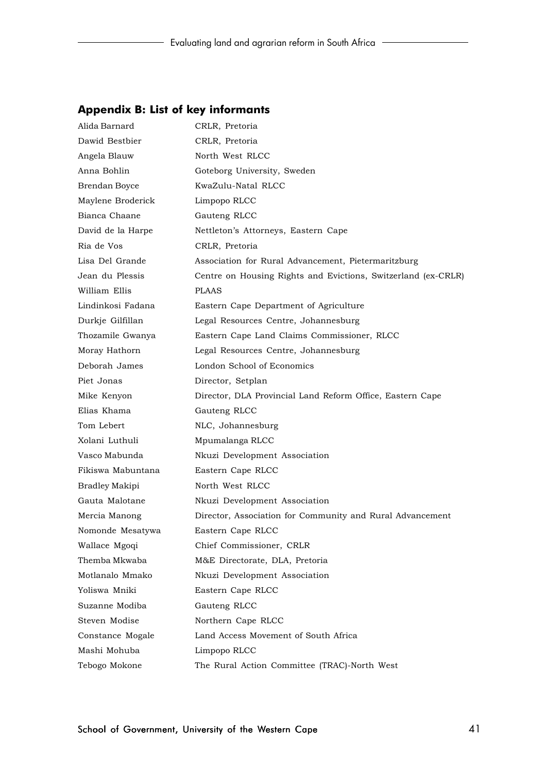## **Appendix B: List of key informants**

| Alida Barnard     | CRLR, Pretoria                                                |
|-------------------|---------------------------------------------------------------|
| Dawid Bestbier    | CRLR, Pretoria                                                |
| Angela Blauw      | North West RLCC                                               |
| Anna Bohlin       | Goteborg University, Sweden                                   |
| Brendan Boyce     | KwaZulu-Natal RLCC                                            |
| Maylene Broderick | Limpopo RLCC                                                  |
| Bianca Chaane     | Gauteng RLCC                                                  |
| David de la Harpe | Nettleton's Attorneys, Eastern Cape                           |
| Ria de Vos        | CRLR, Pretoria                                                |
| Lisa Del Grande   | Association for Rural Advancement, Pietermaritzburg           |
| Jean du Plessis   | Centre on Housing Rights and Evictions, Switzerland (ex-CRLR) |
| William Ellis     | <b>PLAAS</b>                                                  |
| Lindinkosi Fadana | Eastern Cape Department of Agriculture                        |
| Durkje Gilfillan  | Legal Resources Centre, Johannesburg                          |
| Thozamile Gwanya  | Eastern Cape Land Claims Commissioner, RLCC                   |
| Moray Hathorn     | Legal Resources Centre, Johannesburg                          |
| Deborah James     | London School of Economics                                    |
| Piet Jonas        | Director, Setplan                                             |
| Mike Kenyon       | Director, DLA Provincial Land Reform Office, Eastern Cape     |
| Elias Khama       | Gauteng RLCC                                                  |
| Tom Lebert        | NLC, Johannesburg                                             |
| Xolani Luthuli    | Mpumalanga RLCC                                               |
| Vasco Mabunda     | Nkuzi Development Association                                 |
| Fikiswa Mabuntana | Eastern Cape RLCC                                             |
| Bradley Makipi    | North West RLCC                                               |
| Gauta Malotane    | Nkuzi Development Association                                 |
| Mercia Manong     | Director, Association for Community and Rural Advancement     |
| Nomonde Mesatywa  | Eastern Cape RLCC                                             |
| Wallace Mgoqi     | Chief Commissioner, CRLR                                      |
| Themba Mkwaba     | M&E Directorate, DLA, Pretoria                                |
| Motlanalo Mmako   | Nkuzi Development Association                                 |
| Yoliswa Mniki     | Eastern Cape RLCC                                             |
| Suzanne Modiba    | Gauteng RLCC                                                  |
| Steven Modise     | Northern Cape RLCC                                            |
| Constance Mogale  | Land Access Movement of South Africa                          |
| Mashi Mohuba      | Limpopo RLCC                                                  |
| Tebogo Mokone     | The Rural Action Committee (TRAC)-North West                  |